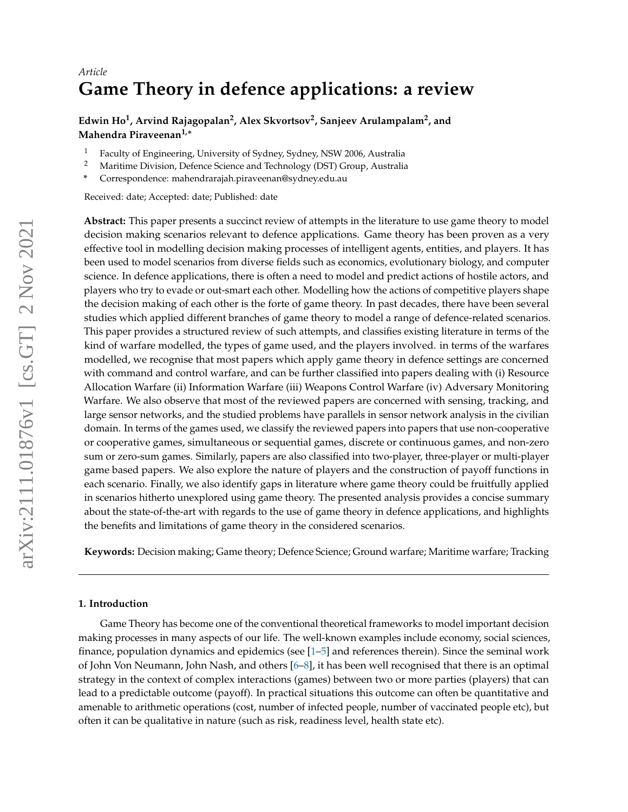# *Article* **Game Theory in defence applications: a review**

## **Edwin Ho<sup>1</sup> , Arvind Rajagopalan<sup>2</sup> , Alex Skvortsov<sup>2</sup> , Sanjeev Arulampalam<sup>2</sup> , and Mahendra Piraveenan1,**<sup>∗</sup>

- <sup>1</sup> Faculty of Engineering, University of Sydney, Sydney, NSW 2006, Australia<br><sup>2</sup> Maritime Division, Defence Science and Technology (DST) Croup, Australia
- <sup>2</sup> Maritime Division, Defence Science and Technology (DST) Group, Australia
- **\*** Correspondence: mahendrarajah.piraveenan@sydney.edu.au

Received: date; Accepted: date; Published: date

**Abstract:** This paper presents a succinct review of attempts in the literature to use game theory to model decision making scenarios relevant to defence applications. Game theory has been proven as a very effective tool in modelling decision making processes of intelligent agents, entities, and players. It has been used to model scenarios from diverse fields such as economics, evolutionary biology, and computer science. In defence applications, there is often a need to model and predict actions of hostile actors, and players who try to evade or out-smart each other. Modelling how the actions of competitive players shape the decision making of each other is the forte of game theory. In past decades, there have been several studies which applied different branches of game theory to model a range of defence-related scenarios. This paper provides a structured review of such attempts, and classifies existing literature in terms of the kind of warfare modelled, the types of game used, and the players involved. in terms of the warfares modelled, we recognise that most papers which apply game theory in defence settings are concerned with command and control warfare, and can be further classified into papers dealing with (i) Resource Allocation Warfare (ii) Information Warfare (iii) Weapons Control Warfare (iv) Adversary Monitoring Warfare. We also observe that most of the reviewed papers are concerned with sensing, tracking, and large sensor networks, and the studied problems have parallels in sensor network analysis in the civilian domain. In terms of the games used, we classify the reviewed papers into papers that use non-cooperative or cooperative games, simultaneous or sequential games, discrete or continuous games, and non-zero sum or zero-sum games. Similarly, papers are also classified into two-player, three-player or multi-player game based papers. We also explore the nature of players and the construction of payoff functions in each scenario. Finally, we also identify gaps in literature where game theory could be fruitfully applied in scenarios hitherto unexplored using game theory. The presented analysis provides a concise summary about the state-of-the-art with regards to the use of game theory in defence applications, and highlights the benefits and limitations of game theory in the considered scenarios.

**Keywords:** Decision making; Game theory; Defence Science; Ground warfare; Maritime warfare; Tracking

## **1. Introduction**

Game Theory has become one of the conventional theoretical frameworks to model important decision making processes in many aspects of our life. The well-known examples include economy, social sciences, finance, population dynamics and epidemics (see [\[1](#page-32-0)[–5\]](#page-32-1) and references therein). Since the seminal work of John Von Neumann, John Nash, and others [\[6](#page-32-2)[–8\]](#page-32-3), it has been well recognised that there is an optimal strategy in the context of complex interactions (games) between two or more parties (players) that can lead to a predictable outcome (payoff). In practical situations this outcome can often be quantitative and amenable to arithmetic operations (cost, number of infected people, number of vaccinated people etc), but often it can be qualitative in nature (such as risk, readiness level, health state etc).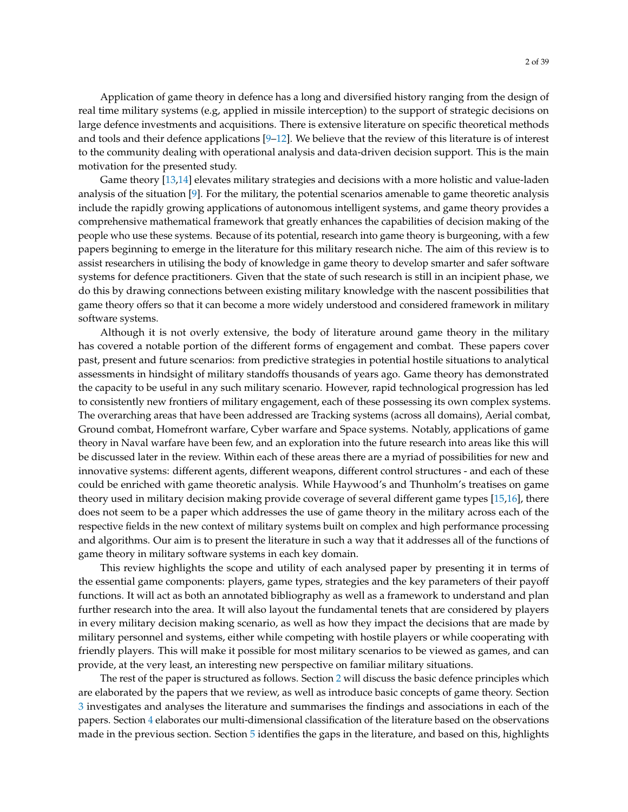Application of game theory in defence has a long and diversified history ranging from the design of real time military systems (e.g, applied in missile interception) to the support of strategic decisions on large defence investments and acquisitions. There is extensive literature on specific theoretical methods and tools and their defence applications [\[9–](#page-32-4)[12\]](#page-32-5). We believe that the review of this literature is of interest to the community dealing with operational analysis and data-driven decision support. This is the main motivation for the presented study.

Game theory [\[13](#page-32-6)[,14\]](#page-32-7) elevates military strategies and decisions with a more holistic and value-laden analysis of the situation [\[9\]](#page-32-4). For the military, the potential scenarios amenable to game theoretic analysis include the rapidly growing applications of autonomous intelligent systems, and game theory provides a comprehensive mathematical framework that greatly enhances the capabilities of decision making of the people who use these systems. Because of its potential, research into game theory is burgeoning, with a few papers beginning to emerge in the literature for this military research niche. The aim of this review is to assist researchers in utilising the body of knowledge in game theory to develop smarter and safer software systems for defence practitioners. Given that the state of such research is still in an incipient phase, we do this by drawing connections between existing military knowledge with the nascent possibilities that game theory offers so that it can become a more widely understood and considered framework in military software systems.

Although it is not overly extensive, the body of literature around game theory in the military has covered a notable portion of the different forms of engagement and combat. These papers cover past, present and future scenarios: from predictive strategies in potential hostile situations to analytical assessments in hindsight of military standoffs thousands of years ago. Game theory has demonstrated the capacity to be useful in any such military scenario. However, rapid technological progression has led to consistently new frontiers of military engagement, each of these possessing its own complex systems. The overarching areas that have been addressed are Tracking systems (across all domains), Aerial combat, Ground combat, Homefront warfare, Cyber warfare and Space systems. Notably, applications of game theory in Naval warfare have been few, and an exploration into the future research into areas like this will be discussed later in the review. Within each of these areas there are a myriad of possibilities for new and innovative systems: different agents, different weapons, different control structures - and each of these could be enriched with game theoretic analysis. While Haywood's and Thunholm's treatises on game theory used in military decision making provide coverage of several different game types [\[15](#page-32-8)[,16\]](#page-33-0), there does not seem to be a paper which addresses the use of game theory in the military across each of the respective fields in the new context of military systems built on complex and high performance processing and algorithms. Our aim is to present the literature in such a way that it addresses all of the functions of game theory in military software systems in each key domain.

This review highlights the scope and utility of each analysed paper by presenting it in terms of the essential game components: players, game types, strategies and the key parameters of their payoff functions. It will act as both an annotated bibliography as well as a framework to understand and plan further research into the area. It will also layout the fundamental tenets that are considered by players in every military decision making scenario, as well as how they impact the decisions that are made by military personnel and systems, either while competing with hostile players or while cooperating with friendly players. This will make it possible for most military scenarios to be viewed as games, and can provide, at the very least, an interesting new perspective on familiar military situations.

The rest of the paper is structured as follows. Section [2](#page-2-0) will discuss the basic defence principles which are elaborated by the papers that we review, as well as introduce basic concepts of game theory. Section [3](#page-9-0) investigates and analyses the literature and summarises the findings and associations in each of the papers. Section [4](#page-28-0) elaborates our multi-dimensional classification of the literature based on the observations made in the previous section. Section [5](#page-30-0) identifies the gaps in the literature, and based on this, highlights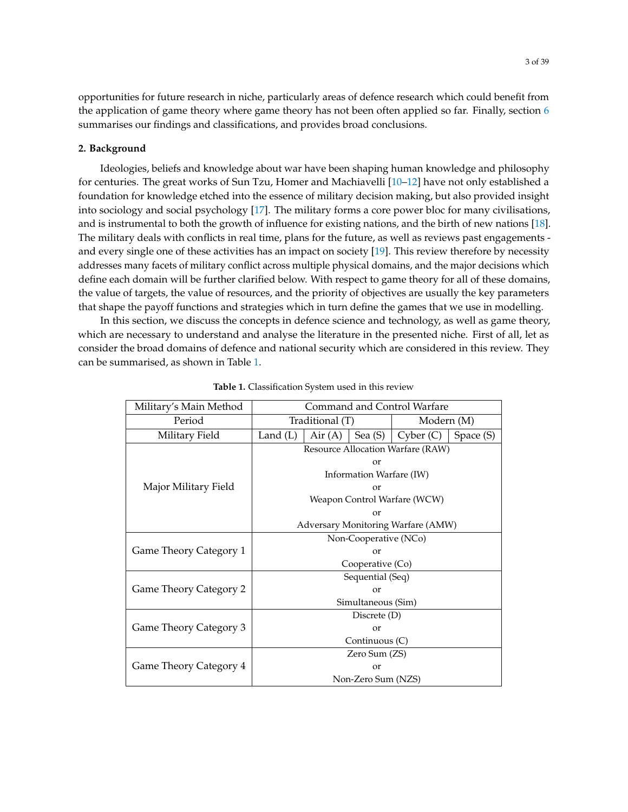opportunities for future research in niche, particularly areas of defence research which could benefit from the application of game theory where game theory has not been often applied so far. Finally, section [6](#page-31-0) summarises our findings and classifications, and provides broad conclusions.

#### <span id="page-2-0"></span>**2. Background**

Ideologies, beliefs and knowledge about war have been shaping human knowledge and philosophy for centuries. The great works of Sun Tzu, Homer and Machiavelli [\[10–](#page-32-9)[12\]](#page-32-5) have not only established a foundation for knowledge etched into the essence of military decision making, but also provided insight into sociology and social psychology [\[17\]](#page-33-1). The military forms a core power bloc for many civilisations, and is instrumental to both the growth of influence for existing nations, and the birth of new nations [\[18\]](#page-33-2). The military deals with conflicts in real time, plans for the future, as well as reviews past engagements and every single one of these activities has an impact on society [\[19\]](#page-33-3). This review therefore by necessity addresses many facets of military conflict across multiple physical domains, and the major decisions which define each domain will be further clarified below. With respect to game theory for all of these domains, the value of targets, the value of resources, and the priority of objectives are usually the key parameters that shape the payoff functions and strategies which in turn define the games that we use in modelling.

<span id="page-2-1"></span>In this section, we discuss the concepts in defence science and technology, as well as game theory, which are necessary to understand and analyse the literature in the presented niche. First of all, let as consider the broad domains of defence and national security which are considered in this review. They can be summarised, as shown in Table [1.](#page-2-1)

| Military's Main Method        | Command and Control Warfare        |        |            |          |           |
|-------------------------------|------------------------------------|--------|------------|----------|-----------|
| Period                        | Traditional (T)                    |        | Modern (M) |          |           |
| Military Field                | Land $(L)$                         | Air(A) | Sea $(S)$  | Cyber(C) | Space (S) |
| Major Military Field          | Resource Allocation Warfare (RAW)  |        |            |          |           |
|                               | or                                 |        |            |          |           |
|                               | Information Warfare (IW)           |        |            |          |           |
|                               | or                                 |        |            |          |           |
|                               | Weapon Control Warfare (WCW)       |        |            |          |           |
|                               | or                                 |        |            |          |           |
|                               | Adversary Monitoring Warfare (AMW) |        |            |          |           |
| Game Theory Category 1        | Non-Cooperative (NCo)              |        |            |          |           |
|                               | $\alpha$                           |        |            |          |           |
|                               | Cooperative (Co)                   |        |            |          |           |
| <b>Game Theory Category 2</b> | Sequential (Seq)                   |        |            |          |           |
|                               | or                                 |        |            |          |           |
|                               | Simultaneous (Sim)                 |        |            |          |           |
| <b>Game Theory Category 3</b> | Discrete (D)                       |        |            |          |           |
|                               | $\alpha$                           |        |            |          |           |
|                               | Continuous (C)                     |        |            |          |           |
| <b>Game Theory Category 4</b> | Zero Sum (ZS)                      |        |            |          |           |
|                               | or                                 |        |            |          |           |
|                               | Non-Zero Sum (NZS)                 |        |            |          |           |

**Table 1.** Classification System used in this review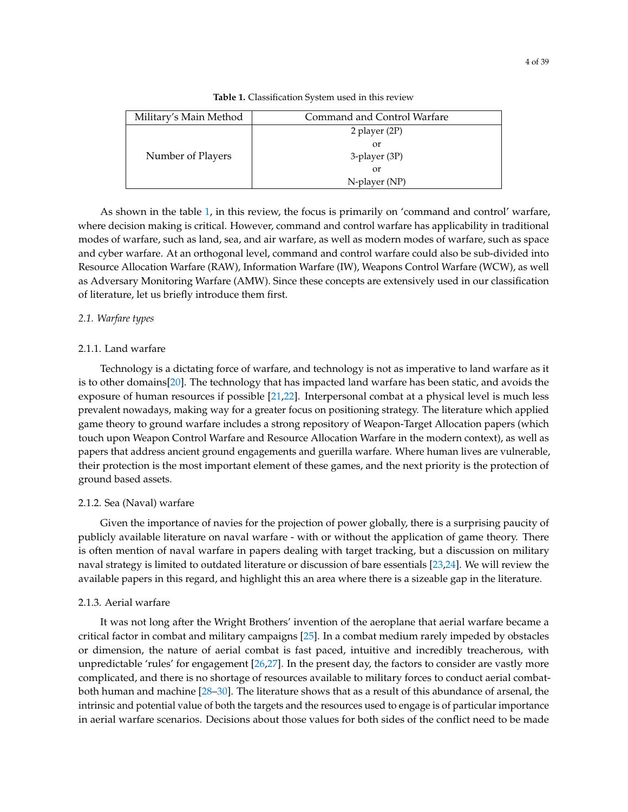| Military's Main Method | Command and Control Warfare |  |
|------------------------|-----------------------------|--|
| Number of Players      | 2 player (2P)               |  |
|                        | or                          |  |
|                        | 3-player (3P)               |  |
|                        | or                          |  |
|                        | N-player (NP)               |  |

As shown in the table [1,](#page-2-1) in this review, the focus is primarily on 'command and control' warfare, where decision making is critical. However, command and control warfare has applicability in traditional modes of warfare, such as land, sea, and air warfare, as well as modern modes of warfare, such as space and cyber warfare. At an orthogonal level, command and control warfare could also be sub-divided into Resource Allocation Warfare (RAW), Information Warfare (IW), Weapons Control Warfare (WCW), as well as Adversary Monitoring Warfare (AMW). Since these concepts are extensively used in our classification of literature, let us briefly introduce them first.

#### *2.1. Warfare types*

## 2.1.1. Land warfare

Technology is a dictating force of warfare, and technology is not as imperative to land warfare as it is to other domains[\[20\]](#page-33-4). The technology that has impacted land warfare has been static, and avoids the exposure of human resources if possible [\[21](#page-33-5)[,22\]](#page-33-6). Interpersonal combat at a physical level is much less prevalent nowadays, making way for a greater focus on positioning strategy. The literature which applied game theory to ground warfare includes a strong repository of Weapon-Target Allocation papers (which touch upon Weapon Control Warfare and Resource Allocation Warfare in the modern context), as well as papers that address ancient ground engagements and guerilla warfare. Where human lives are vulnerable, their protection is the most important element of these games, and the next priority is the protection of ground based assets.

#### 2.1.2. Sea (Naval) warfare

Given the importance of navies for the projection of power globally, there is a surprising paucity of publicly available literature on naval warfare - with or without the application of game theory. There is often mention of naval warfare in papers dealing with target tracking, but a discussion on military naval strategy is limited to outdated literature or discussion of bare essentials [\[23,](#page-33-7)[24\]](#page-33-8). We will review the available papers in this regard, and highlight this an area where there is a sizeable gap in the literature.

## 2.1.3. Aerial warfare

It was not long after the Wright Brothers' invention of the aeroplane that aerial warfare became a critical factor in combat and military campaigns [\[25\]](#page-33-9). In a combat medium rarely impeded by obstacles or dimension, the nature of aerial combat is fast paced, intuitive and incredibly treacherous, with unpredictable 'rules' for engagement [\[26,](#page-33-10)[27\]](#page-33-11). In the present day, the factors to consider are vastly more complicated, and there is no shortage of resources available to military forces to conduct aerial combatboth human and machine [\[28–](#page-33-12)[30\]](#page-33-13). The literature shows that as a result of this abundance of arsenal, the intrinsic and potential value of both the targets and the resources used to engage is of particular importance in aerial warfare scenarios. Decisions about those values for both sides of the conflict need to be made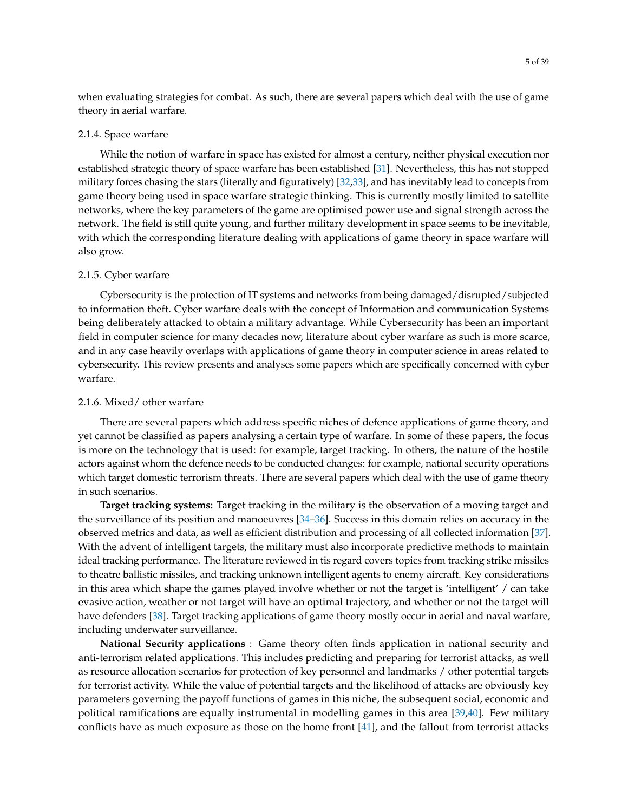when evaluating strategies for combat. As such, there are several papers which deal with the use of game theory in aerial warfare.

#### 2.1.4. Space warfare

While the notion of warfare in space has existed for almost a century, neither physical execution nor established strategic theory of space warfare has been established [\[31\]](#page-33-14). Nevertheless, this has not stopped military forces chasing the stars (literally and figuratively) [\[32,](#page-33-15)[33\]](#page-33-16), and has inevitably lead to concepts from game theory being used in space warfare strategic thinking. This is currently mostly limited to satellite networks, where the key parameters of the game are optimised power use and signal strength across the network. The field is still quite young, and further military development in space seems to be inevitable, with which the corresponding literature dealing with applications of game theory in space warfare will also grow.

## 2.1.5. Cyber warfare

Cybersecurity is the protection of IT systems and networks from being damaged/disrupted/subjected to information theft. Cyber warfare deals with the concept of Information and communication Systems being deliberately attacked to obtain a military advantage. While Cybersecurity has been an important field in computer science for many decades now, literature about cyber warfare as such is more scarce, and in any case heavily overlaps with applications of game theory in computer science in areas related to cybersecurity. This review presents and analyses some papers which are specifically concerned with cyber warfare.

## 2.1.6. Mixed/ other warfare

There are several papers which address specific niches of defence applications of game theory, and yet cannot be classified as papers analysing a certain type of warfare. In some of these papers, the focus is more on the technology that is used: for example, target tracking. In others, the nature of the hostile actors against whom the defence needs to be conducted changes: for example, national security operations which target domestic terrorism threats. There are several papers which deal with the use of game theory in such scenarios.

**Target tracking systems:** Target tracking in the military is the observation of a moving target and the surveillance of its position and manoeuvres [\[34](#page-33-17)[–36\]](#page-33-18). Success in this domain relies on accuracy in the observed metrics and data, as well as efficient distribution and processing of all collected information [\[37\]](#page-33-19). With the advent of intelligent targets, the military must also incorporate predictive methods to maintain ideal tracking performance. The literature reviewed in tis regard covers topics from tracking strike missiles to theatre ballistic missiles, and tracking unknown intelligent agents to enemy aircraft. Key considerations in this area which shape the games played involve whether or not the target is 'intelligent' / can take evasive action, weather or not target will have an optimal trajectory, and whether or not the target will have defenders [\[38\]](#page-33-20). Target tracking applications of game theory mostly occur in aerial and naval warfare, including underwater surveillance.

**National Security applications** : Game theory often finds application in national security and anti-terrorism related applications. This includes predicting and preparing for terrorist attacks, as well as resource allocation scenarios for protection of key personnel and landmarks / other potential targets for terrorist activity. While the value of potential targets and the likelihood of attacks are obviously key parameters governing the payoff functions of games in this niche, the subsequent social, economic and political ramifications are equally instrumental in modelling games in this area [\[39](#page-33-21)[,40\]](#page-33-22). Few military conflicts have as much exposure as those on the home front [\[41\]](#page-33-23), and the fallout from terrorist attacks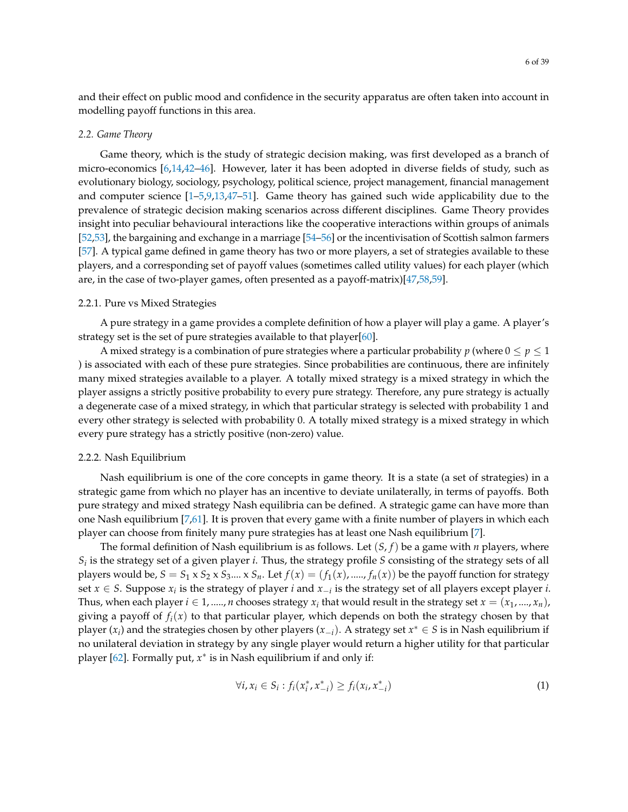and their effect on public mood and confidence in the security apparatus are often taken into account in modelling payoff functions in this area.

## *2.2. Game Theory*

Game theory, which is the study of strategic decision making, was first developed as a branch of micro-economics [\[6,](#page-32-2)[14,](#page-32-7)[42–](#page-33-24)[46\]](#page-34-0). However, later it has been adopted in diverse fields of study, such as evolutionary biology, sociology, psychology, political science, project management, financial management and computer science [\[1–](#page-32-0)[5,](#page-32-1)[9](#page-32-4)[,13,](#page-32-6)[47](#page-34-1)[–51\]](#page-34-2). Game theory has gained such wide applicability due to the prevalence of strategic decision making scenarios across different disciplines. Game Theory provides insight into peculiar behavioural interactions like the cooperative interactions within groups of animals [\[52,](#page-34-3)[53\]](#page-34-4), the bargaining and exchange in a marriage [\[54](#page-34-5)[–56\]](#page-34-6) or the incentivisation of Scottish salmon farmers [\[57\]](#page-34-7). A typical game defined in game theory has two or more players, a set of strategies available to these players, and a corresponding set of payoff values (sometimes called utility values) for each player (which are, in the case of two-player games, often presented as a payoff-matrix)[\[47](#page-34-1)[,58](#page-34-8)[,59\]](#page-34-9).

## 2.2.1. Pure vs Mixed Strategies

A pure strategy in a game provides a complete definition of how a player will play a game. A player's strategy set is the set of pure strategies available to that player[\[60\]](#page-34-10).

A mixed strategy is a combination of pure strategies where a particular probability *p* (where  $0 \le p \le 1$ ) ) is associated with each of these pure strategies. Since probabilities are continuous, there are infinitely many mixed strategies available to a player. A totally mixed strategy is a mixed strategy in which the player assigns a strictly positive probability to every pure strategy. Therefore, any pure strategy is actually a degenerate case of a mixed strategy, in which that particular strategy is selected with probability 1 and every other strategy is selected with probability 0. A totally mixed strategy is a mixed strategy in which every pure strategy has a strictly positive (non-zero) value.

## 2.2.2. Nash Equilibrium

Nash equilibrium is one of the core concepts in game theory. It is a state (a set of strategies) in a strategic game from which no player has an incentive to deviate unilaterally, in terms of payoffs. Both pure strategy and mixed strategy Nash equilibria can be defined. A strategic game can have more than one Nash equilibrium [\[7](#page-32-10)[,61\]](#page-34-11). It is proven that every game with a finite number of players in which each player can choose from finitely many pure strategies has at least one Nash equilibrium [\[7\]](#page-32-10).

The formal definition of Nash equilibrium is as follows. Let (*S*, *f*) be a game with *n* players, where *Si* is the strategy set of a given player *i*. Thus, the strategy profile *S* consisting of the strategy sets of all players would be,  $S = S_1 \times S_2 \times S_3$ ....  $X S_n$ . Let  $f(x) = (f_1(x), \dots, f_n(x))$  be the payoff function for strategy set *x* ∈ *S*. Suppose *x<sup>i</sup>* is the strategy of player *i* and *x*−*<sup>i</sup>* is the strategy set of all players except player *i*. Thus, when each player  $i \in 1,.....,n$  chooses strategy  $x_i$  that would result in the strategy set  $x = (x_1,....,x_n)$ , giving a payoff of  $f_i(x)$  to that particular player, which depends on both the strategy chosen by that player (*x<sup>i</sup>* ) and the strategies chosen by other players (*x*−*i*). A strategy set *x* <sup>∗</sup> ∈ *S* is in Nash equilibrium if no unilateral deviation in strategy by any single player would return a higher utility for that particular player [\[62\]](#page-34-12). Formally put,  $x^*$  is in Nash equilibrium if and only if:

$$
\forall i, x_i \in S_i : f_i(x_i^*, x_{-i}^*) \ge f_i(x_i, x_{-i}^*)
$$
\n(1)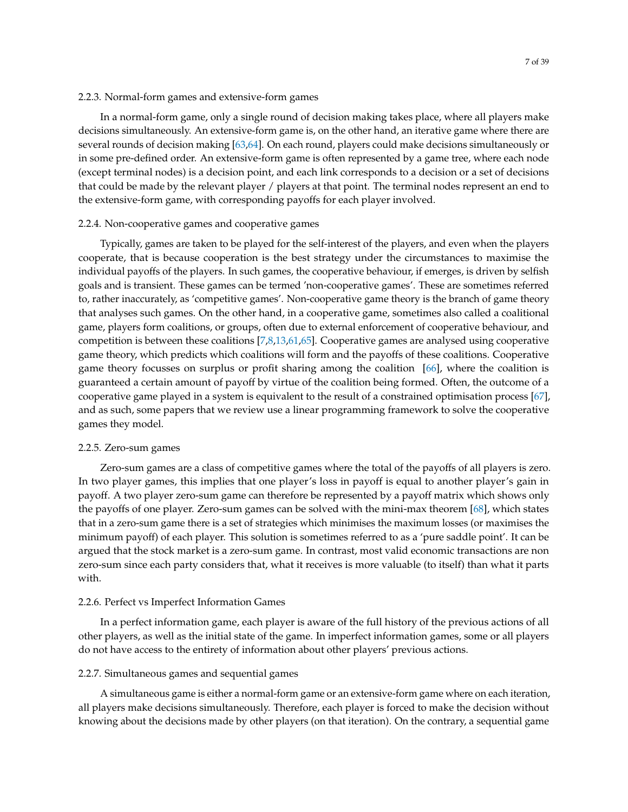#### 2.2.3. Normal-form games and extensive-form games

In a normal-form game, only a single round of decision making takes place, where all players make decisions simultaneously. An extensive-form game is, on the other hand, an iterative game where there are several rounds of decision making [\[63](#page-34-13)[,64\]](#page-34-14). On each round, players could make decisions simultaneously or in some pre-defined order. An extensive-form game is often represented by a game tree, where each node (except terminal nodes) is a decision point, and each link corresponds to a decision or a set of decisions that could be made by the relevant player / players at that point. The terminal nodes represent an end to the extensive-form game, with corresponding payoffs for each player involved.

## 2.2.4. Non-cooperative games and cooperative games

Typically, games are taken to be played for the self-interest of the players, and even when the players cooperate, that is because cooperation is the best strategy under the circumstances to maximise the individual payoffs of the players. In such games, the cooperative behaviour, if emerges, is driven by selfish goals and is transient. These games can be termed 'non-cooperative games'. These are sometimes referred to, rather inaccurately, as 'competitive games'. Non-cooperative game theory is the branch of game theory that analyses such games. On the other hand, in a cooperative game, sometimes also called a coalitional game, players form coalitions, or groups, often due to external enforcement of cooperative behaviour, and competition is between these coalitions [\[7](#page-32-10)[,8](#page-32-3)[,13](#page-32-6)[,61](#page-34-11)[,65\]](#page-34-15). Cooperative games are analysed using cooperative game theory, which predicts which coalitions will form and the payoffs of these coalitions. Cooperative game theory focusses on surplus or profit sharing among the coalition [\[66\]](#page-34-16), where the coalition is guaranteed a certain amount of payoff by virtue of the coalition being formed. Often, the outcome of a cooperative game played in a system is equivalent to the result of a constrained optimisation process [\[67\]](#page-34-17), and as such, some papers that we review use a linear programming framework to solve the cooperative games they model.

#### 2.2.5. Zero-sum games

Zero-sum games are a class of competitive games where the total of the payoffs of all players is zero. In two player games, this implies that one player's loss in payoff is equal to another player's gain in payoff. A two player zero-sum game can therefore be represented by a payoff matrix which shows only the payoffs of one player. Zero-sum games can be solved with the mini-max theorem [\[68\]](#page-34-18), which states that in a zero-sum game there is a set of strategies which minimises the maximum losses (or maximises the minimum payoff) of each player. This solution is sometimes referred to as a 'pure saddle point'. It can be argued that the stock market is a zero-sum game. In contrast, most valid economic transactions are non zero-sum since each party considers that, what it receives is more valuable (to itself) than what it parts with.

## 2.2.6. Perfect vs Imperfect Information Games

In a perfect information game, each player is aware of the full history of the previous actions of all other players, as well as the initial state of the game. In imperfect information games, some or all players do not have access to the entirety of information about other players' previous actions.

## 2.2.7. Simultaneous games and sequential games

A simultaneous game is either a normal-form game or an extensive-form game where on each iteration, all players make decisions simultaneously. Therefore, each player is forced to make the decision without knowing about the decisions made by other players (on that iteration). On the contrary, a sequential game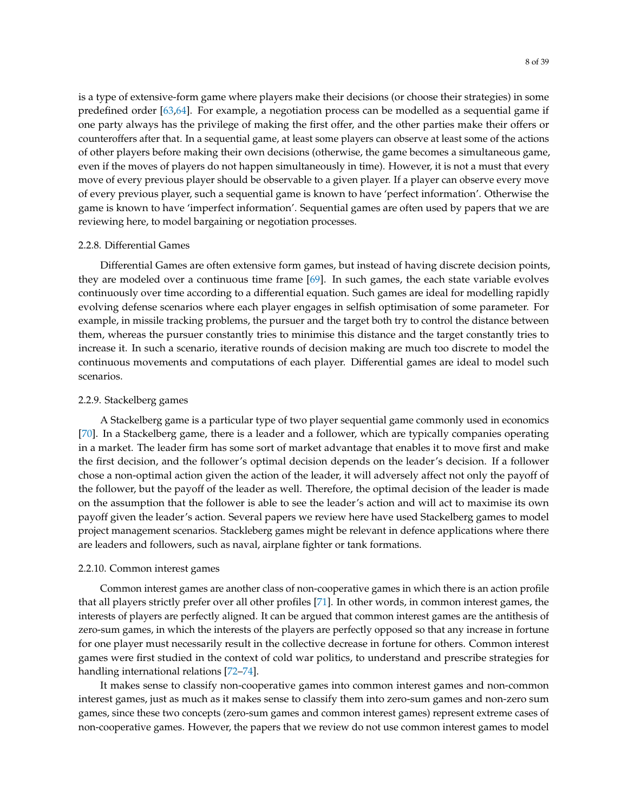is a type of extensive-form game where players make their decisions (or choose their strategies) in some predefined order [\[63](#page-34-13)[,64\]](#page-34-14). For example, a negotiation process can be modelled as a sequential game if one party always has the privilege of making the first offer, and the other parties make their offers or counteroffers after that. In a sequential game, at least some players can observe at least some of the actions of other players before making their own decisions (otherwise, the game becomes a simultaneous game, even if the moves of players do not happen simultaneously in time). However, it is not a must that every move of every previous player should be observable to a given player. If a player can observe every move of every previous player, such a sequential game is known to have 'perfect information'. Otherwise the game is known to have 'imperfect information'. Sequential games are often used by papers that we are reviewing here, to model bargaining or negotiation processes.

#### 2.2.8. Differential Games

Differential Games are often extensive form games, but instead of having discrete decision points, they are modeled over a continuous time frame [\[69\]](#page-34-19). In such games, the each state variable evolves continuously over time according to a differential equation. Such games are ideal for modelling rapidly evolving defense scenarios where each player engages in selfish optimisation of some parameter. For example, in missile tracking problems, the pursuer and the target both try to control the distance between them, whereas the pursuer constantly tries to minimise this distance and the target constantly tries to increase it. In such a scenario, iterative rounds of decision making are much too discrete to model the continuous movements and computations of each player. Differential games are ideal to model such scenarios.

#### 2.2.9. Stackelberg games

A Stackelberg game is a particular type of two player sequential game commonly used in economics [\[70\]](#page-34-20). In a Stackelberg game, there is a leader and a follower, which are typically companies operating in a market. The leader firm has some sort of market advantage that enables it to move first and make the first decision, and the follower's optimal decision depends on the leader's decision. If a follower chose a non-optimal action given the action of the leader, it will adversely affect not only the payoff of the follower, but the payoff of the leader as well. Therefore, the optimal decision of the leader is made on the assumption that the follower is able to see the leader's action and will act to maximise its own payoff given the leader's action. Several papers we review here have used Stackelberg games to model project management scenarios. Stackleberg games might be relevant in defence applications where there are leaders and followers, such as naval, airplane fighter or tank formations.

## 2.2.10. Common interest games

Common interest games are another class of non-cooperative games in which there is an action profile that all players strictly prefer over all other profiles [\[71\]](#page-34-21). In other words, in common interest games, the interests of players are perfectly aligned. It can be argued that common interest games are the antithesis of zero-sum games, in which the interests of the players are perfectly opposed so that any increase in fortune for one player must necessarily result in the collective decrease in fortune for others. Common interest games were first studied in the context of cold war politics, to understand and prescribe strategies for handling international relations [\[72–](#page-34-22)[74\]](#page-35-0).

It makes sense to classify non-cooperative games into common interest games and non-common interest games, just as much as it makes sense to classify them into zero-sum games and non-zero sum games, since these two concepts (zero-sum games and common interest games) represent extreme cases of non-cooperative games. However, the papers that we review do not use common interest games to model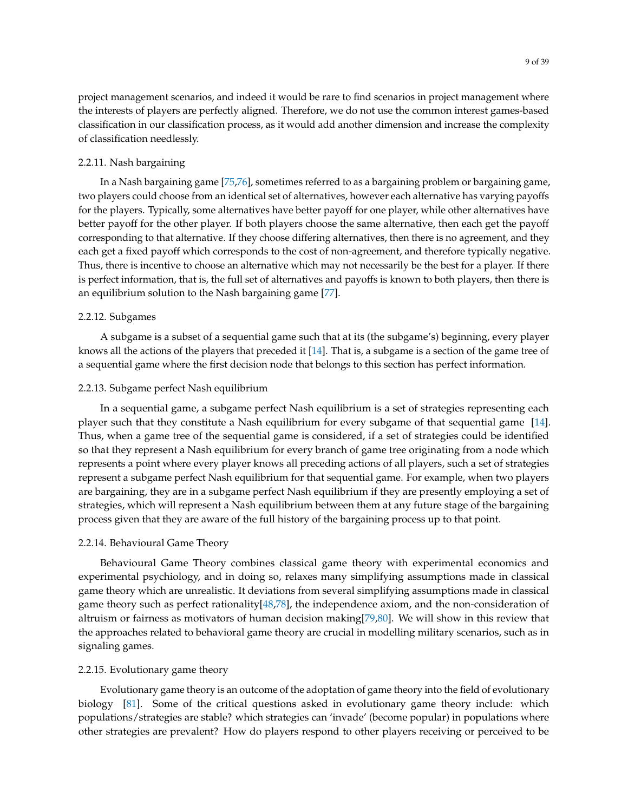project management scenarios, and indeed it would be rare to find scenarios in project management where the interests of players are perfectly aligned. Therefore, we do not use the common interest games-based classification in our classification process, as it would add another dimension and increase the complexity of classification needlessly.

## 2.2.11. Nash bargaining

In a Nash bargaining game [\[75](#page-35-1)[,76\]](#page-35-2), sometimes referred to as a bargaining problem or bargaining game, two players could choose from an identical set of alternatives, however each alternative has varying payoffs for the players. Typically, some alternatives have better payoff for one player, while other alternatives have better payoff for the other player. If both players choose the same alternative, then each get the payoff corresponding to that alternative. If they choose differing alternatives, then there is no agreement, and they each get a fixed payoff which corresponds to the cost of non-agreement, and therefore typically negative. Thus, there is incentive to choose an alternative which may not necessarily be the best for a player. If there is perfect information, that is, the full set of alternatives and payoffs is known to both players, then there is an equilibrium solution to the Nash bargaining game [\[77\]](#page-35-3).

## 2.2.12. Subgames

A subgame is a subset of a sequential game such that at its (the subgame's) beginning, every player knows all the actions of the players that preceded it [\[14\]](#page-32-7). That is, a subgame is a section of the game tree of a sequential game where the first decision node that belongs to this section has perfect information.

## 2.2.13. Subgame perfect Nash equilibrium

In a sequential game, a subgame perfect Nash equilibrium is a set of strategies representing each player such that they constitute a Nash equilibrium for every subgame of that sequential game [\[14\]](#page-32-7). Thus, when a game tree of the sequential game is considered, if a set of strategies could be identified so that they represent a Nash equilibrium for every branch of game tree originating from a node which represents a point where every player knows all preceding actions of all players, such a set of strategies represent a subgame perfect Nash equilibrium for that sequential game. For example, when two players are bargaining, they are in a subgame perfect Nash equilibrium if they are presently employing a set of strategies, which will represent a Nash equilibrium between them at any future stage of the bargaining process given that they are aware of the full history of the bargaining process up to that point.

### 2.2.14. Behavioural Game Theory

Behavioural Game Theory combines classical game theory with experimental economics and experimental psychiology, and in doing so, relaxes many simplifying assumptions made in classical game theory which are unrealistic. It deviations from several simplifying assumptions made in classical game theory such as perfect rationality[\[48,](#page-34-23)[78\]](#page-35-4), the independence axiom, and the non-consideration of altruism or fairness as motivators of human decision making[\[79](#page-35-5)[,80\]](#page-35-6). We will show in this review that the approaches related to behavioral game theory are crucial in modelling military scenarios, such as in signaling games.

## 2.2.15. Evolutionary game theory

Evolutionary game theory is an outcome of the adoptation of game theory into the field of evolutionary biology [\[81\]](#page-35-7). Some of the critical questions asked in evolutionary game theory include: which populations/strategies are stable? which strategies can 'invade' (become popular) in populations where other strategies are prevalent? How do players respond to other players receiving or perceived to be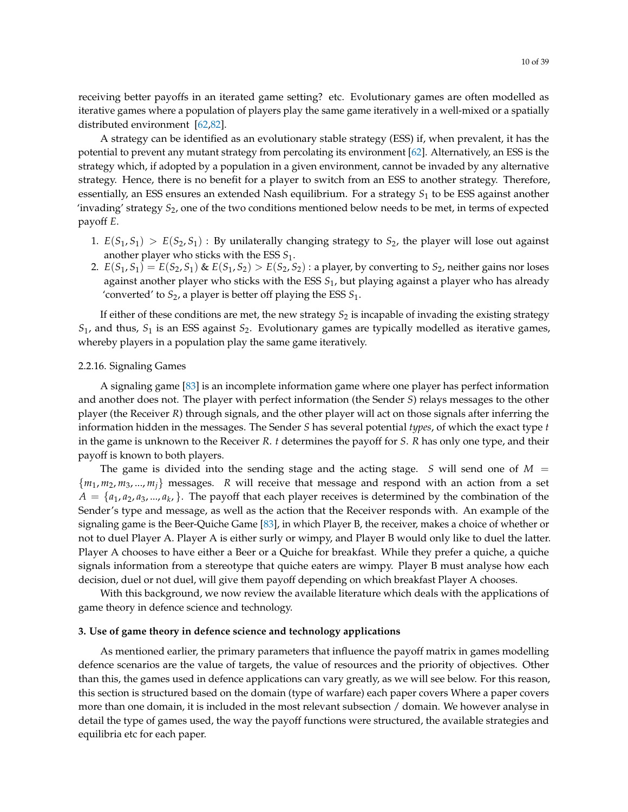receiving better payoffs in an iterated game setting? etc. Evolutionary games are often modelled as iterative games where a population of players play the same game iteratively in a well-mixed or a spatially distributed environment [\[62](#page-34-12)[,82\]](#page-35-8).

A strategy can be identified as an evolutionary stable strategy (ESS) if, when prevalent, it has the potential to prevent any mutant strategy from percolating its environment [\[62\]](#page-34-12). Alternatively, an ESS is the strategy which, if adopted by a population in a given environment, cannot be invaded by any alternative strategy. Hence, there is no benefit for a player to switch from an ESS to another strategy. Therefore, essentially, an ESS ensures an extended Nash equilibrium. For a strategy *S*<sup>1</sup> to be ESS against another 'invading' strategy *S*2, one of the two conditions mentioned below needs to be met, in terms of expected payoff *E*.

- 1.  $E(S_1, S_1) > E(S_2, S_1)$ : By unilaterally changing strategy to  $S_2$ , the player will lose out against another player who sticks with the ESS *S*1.
- 2.  $E(S_1, S_1) = E(S_2, S_1)$  &  $E(S_1, S_2) > E(S_2, S_2)$ : a player, by converting to  $S_2$ , neither gains nor loses against another player who sticks with the ESS *S*1, but playing against a player who has already 'converted' to *S*2, a player is better off playing the ESS *S*1.

If either of these conditions are met, the new strategy  $S_2$  is incapable of invading the existing strategy *S*1, and thus, *S*<sup>1</sup> is an ESS against *S*2. Evolutionary games are typically modelled as iterative games, whereby players in a population play the same game iteratively.

## 2.2.16. Signaling Games

A signaling game [\[83\]](#page-35-9) is an incomplete information game where one player has perfect information and another does not. The player with perfect information (the Sender *S*) relays messages to the other player (the Receiver *R*) through signals, and the other player will act on those signals after inferring the information hidden in the messages. The Sender *S* has several potential *types*, of which the exact type *t* in the game is unknown to the Receiver *R*. *t* determines the payoff for *S*. *R* has only one type, and their payoff is known to both players.

The game is divided into the sending stage and the acting stage. *S* will send one of  $M =$ {*m*1, *m*2, *m*3, ..., *mj*} messages. *R* will receive that message and respond with an action from a set  $A = \{a_1, a_2, a_3, ..., a_k\}$ . The payoff that each player receives is determined by the combination of the Sender's type and message, as well as the action that the Receiver responds with. An example of the signaling game is the Beer-Quiche Game [\[83\]](#page-35-9), in which Player B, the receiver, makes a choice of whether or not to duel Player A. Player A is either surly or wimpy, and Player B would only like to duel the latter. Player A chooses to have either a Beer or a Quiche for breakfast. While they prefer a quiche, a quiche signals information from a stereotype that quiche eaters are wimpy. Player B must analyse how each decision, duel or not duel, will give them payoff depending on which breakfast Player A chooses.

With this background, we now review the available literature which deals with the applications of game theory in defence science and technology.

#### <span id="page-9-0"></span>**3. Use of game theory in defence science and technology applications**

As mentioned earlier, the primary parameters that influence the payoff matrix in games modelling defence scenarios are the value of targets, the value of resources and the priority of objectives. Other than this, the games used in defence applications can vary greatly, as we will see below. For this reason, this section is structured based on the domain (type of warfare) each paper covers Where a paper covers more than one domain, it is included in the most relevant subsection / domain. We however analyse in detail the type of games used, the way the payoff functions were structured, the available strategies and equilibria etc for each paper.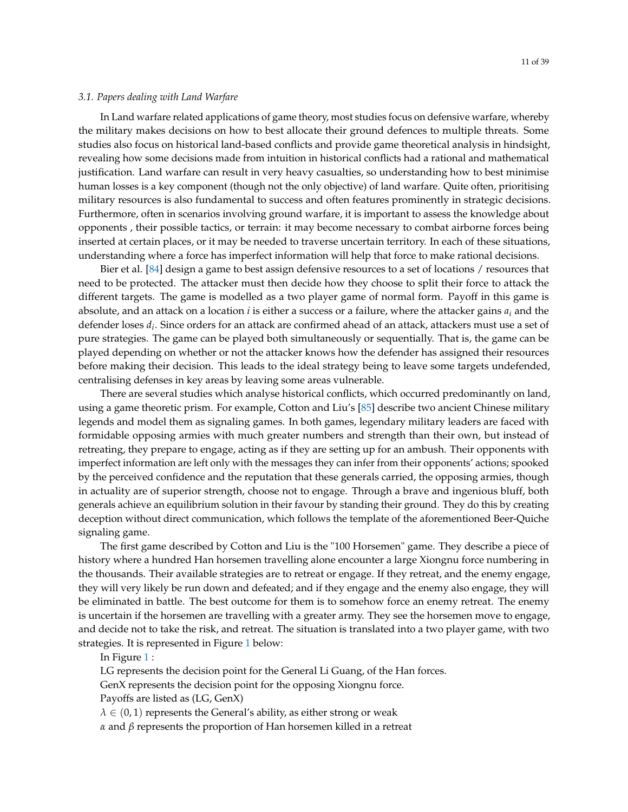#### *3.1. Papers dealing with Land Warfare*

In Land warfare related applications of game theory, most studies focus on defensive warfare, whereby the military makes decisions on how to best allocate their ground defences to multiple threats. Some studies also focus on historical land-based conflicts and provide game theoretical analysis in hindsight, revealing how some decisions made from intuition in historical conflicts had a rational and mathematical justification. Land warfare can result in very heavy casualties, so understanding how to best minimise human losses is a key component (though not the only objective) of land warfare. Quite often, prioritising military resources is also fundamental to success and often features prominently in strategic decisions. Furthermore, often in scenarios involving ground warfare, it is important to assess the knowledge about opponents , their possible tactics, or terrain: it may become necessary to combat airborne forces being inserted at certain places, or it may be needed to traverse uncertain territory. In each of these situations, understanding where a force has imperfect information will help that force to make rational decisions.

Bier et al. [\[84\]](#page-35-10) design a game to best assign defensive resources to a set of locations / resources that need to be protected. The attacker must then decide how they choose to split their force to attack the different targets. The game is modelled as a two player game of normal form. Payoff in this game is absolute, and an attack on a location *i* is either a success or a failure, where the attacker gains *a<sup>i</sup>* and the defender loses *d<sup>i</sup>* . Since orders for an attack are confirmed ahead of an attack, attackers must use a set of pure strategies. The game can be played both simultaneously or sequentially. That is, the game can be played depending on whether or not the attacker knows how the defender has assigned their resources before making their decision. This leads to the ideal strategy being to leave some targets undefended, centralising defenses in key areas by leaving some areas vulnerable.

There are several studies which analyse historical conflicts, which occurred predominantly on land, using a game theoretic prism. For example, Cotton and Liu's [\[85\]](#page-35-11) describe two ancient Chinese military legends and model them as signaling games. In both games, legendary military leaders are faced with formidable opposing armies with much greater numbers and strength than their own, but instead of retreating, they prepare to engage, acting as if they are setting up for an ambush. Their opponents with imperfect information are left only with the messages they can infer from their opponents' actions; spooked by the perceived confidence and the reputation that these generals carried, the opposing armies, though in actuality are of superior strength, choose not to engage. Through a brave and ingenious bluff, both generals achieve an equilibrium solution in their favour by standing their ground. They do this by creating deception without direct communication, which follows the template of the aforementioned Beer-Quiche signaling game.

The first game described by Cotton and Liu is the "100 Horsemen" game. They describe a piece of history where a hundred Han horsemen travelling alone encounter a large Xiongnu force numbering in the thousands. Their available strategies are to retreat or engage. If they retreat, and the enemy engage, they will very likely be run down and defeated; and if they engage and the enemy also engage, they will be eliminated in battle. The best outcome for them is to somehow force an enemy retreat. The enemy is uncertain if the horsemen are travelling with a greater army. They see the horsemen move to engage, and decide not to take the risk, and retreat. The situation is translated into a two player game, with two strategies. It is represented in Figure [1](#page-11-0) below:

## In Figure [1](#page-11-0) :

LG represents the decision point for the General Li Guang, of the Han forces.

GenX represents the decision point for the opposing Xiongnu force.

Payoffs are listed as (LG, GenX)

 $\lambda \in (0,1)$  represents the General's ability, as either strong or weak

*α* and *β* represents the proportion of Han horsemen killed in a retreat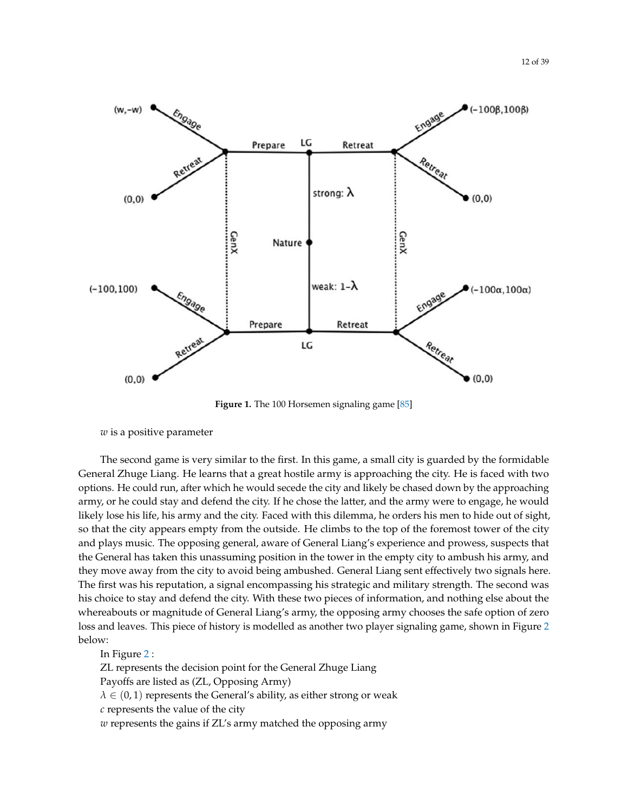<span id="page-11-0"></span>

**Figure 1.** The 100 Horsemen signaling game [\[85\]](#page-35-11)

*w* is a positive parameter

The second game is very similar to the first. In this game, a small city is guarded by the formidable General Zhuge Liang. He learns that a great hostile army is approaching the city. He is faced with two options. He could run, after which he would secede the city and likely be chased down by the approaching army, or he could stay and defend the city. If he chose the latter, and the army were to engage, he would likely lose his life, his army and the city. Faced with this dilemma, he orders his men to hide out of sight, so that the city appears empty from the outside. He climbs to the top of the foremost tower of the city and plays music. The opposing general, aware of General Liang's experience and prowess, suspects that the General has taken this unassuming position in the tower in the empty city to ambush his army, and they move away from the city to avoid being ambushed. General Liang sent effectively two signals here. The first was his reputation, a signal encompassing his strategic and military strength. The second was his choice to stay and defend the city. With these two pieces of information, and nothing else about the whereabouts or magnitude of General Liang's army, the opposing army chooses the safe option of zero loss and leaves. This piece of history is modelled as another two player signaling game, shown in Figure [2](#page-12-0) below:

## In Figure [2](#page-12-0) :

ZL represents the decision point for the General Zhuge Liang

Payoffs are listed as (ZL, Opposing Army)

 $\lambda \in (0,1)$  represents the General's ability, as either strong or weak

*c* represents the value of the city

*w* represents the gains if ZL's army matched the opposing army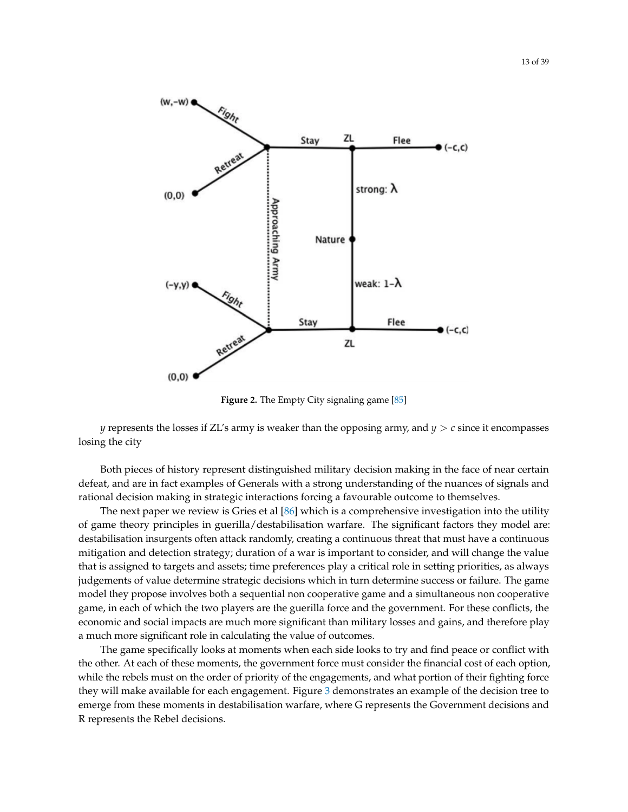<span id="page-12-0"></span>

**Figure 2.** The Empty City signaling game [\[85\]](#page-35-11)

*y* represents the losses if ZL's army is weaker than the opposing army, and *y* > *c* since it encompasses losing the city

Both pieces of history represent distinguished military decision making in the face of near certain defeat, and are in fact examples of Generals with a strong understanding of the nuances of signals and rational decision making in strategic interactions forcing a favourable outcome to themselves.

The next paper we review is Gries et al [\[86\]](#page-35-12) which is a comprehensive investigation into the utility of game theory principles in guerilla/destabilisation warfare. The significant factors they model are: destabilisation insurgents often attack randomly, creating a continuous threat that must have a continuous mitigation and detection strategy; duration of a war is important to consider, and will change the value that is assigned to targets and assets; time preferences play a critical role in setting priorities, as always judgements of value determine strategic decisions which in turn determine success or failure. The game model they propose involves both a sequential non cooperative game and a simultaneous non cooperative game, in each of which the two players are the guerilla force and the government. For these conflicts, the economic and social impacts are much more significant than military losses and gains, and therefore play a much more significant role in calculating the value of outcomes.

The game specifically looks at moments when each side looks to try and find peace or conflict with the other. At each of these moments, the government force must consider the financial cost of each option, while the rebels must on the order of priority of the engagements, and what portion of their fighting force they will make available for each engagement. Figure [3](#page-13-0) demonstrates an example of the decision tree to emerge from these moments in destabilisation warfare, where G represents the Government decisions and R represents the Rebel decisions.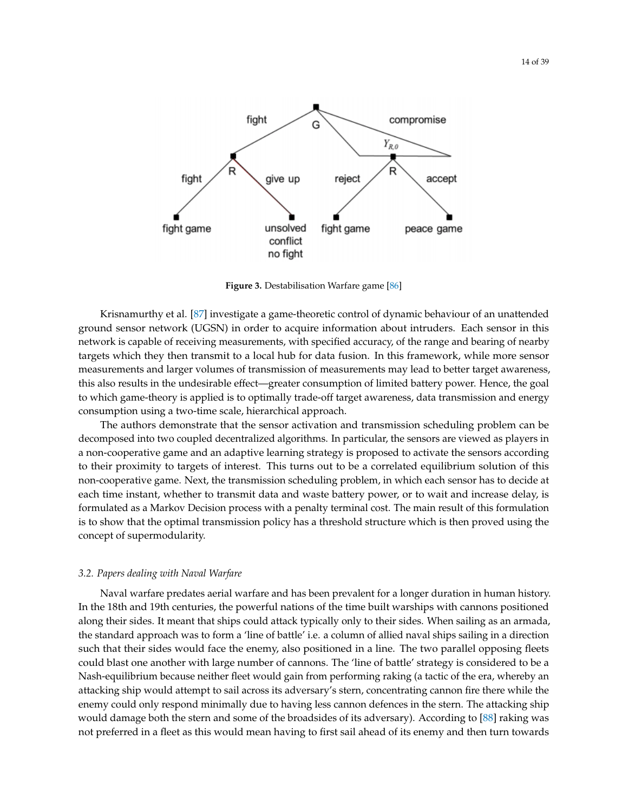<span id="page-13-0"></span>

**Figure 3.** Destabilisation Warfare game [\[86\]](#page-35-12)

Krisnamurthy et al. [\[87\]](#page-35-13) investigate a game-theoretic control of dynamic behaviour of an unattended ground sensor network (UGSN) in order to acquire information about intruders. Each sensor in this network is capable of receiving measurements, with specified accuracy, of the range and bearing of nearby targets which they then transmit to a local hub for data fusion. In this framework, while more sensor measurements and larger volumes of transmission of measurements may lead to better target awareness, this also results in the undesirable effect—greater consumption of limited battery power. Hence, the goal to which game-theory is applied is to optimally trade-off target awareness, data transmission and energy consumption using a two-time scale, hierarchical approach.

The authors demonstrate that the sensor activation and transmission scheduling problem can be decomposed into two coupled decentralized algorithms. In particular, the sensors are viewed as players in a non-cooperative game and an adaptive learning strategy is proposed to activate the sensors according to their proximity to targets of interest. This turns out to be a correlated equilibrium solution of this non-cooperative game. Next, the transmission scheduling problem, in which each sensor has to decide at each time instant, whether to transmit data and waste battery power, or to wait and increase delay, is formulated as a Markov Decision process with a penalty terminal cost. The main result of this formulation is to show that the optimal transmission policy has a threshold structure which is then proved using the concept of supermodularity.

## *3.2. Papers dealing with Naval Warfare*

Naval warfare predates aerial warfare and has been prevalent for a longer duration in human history. In the 18th and 19th centuries, the powerful nations of the time built warships with cannons positioned along their sides. It meant that ships could attack typically only to their sides. When sailing as an armada, the standard approach was to form a 'line of battle' i.e. a column of allied naval ships sailing in a direction such that their sides would face the enemy, also positioned in a line. The two parallel opposing fleets could blast one another with large number of cannons. The 'line of battle' strategy is considered to be a Nash-equilibrium because neither fleet would gain from performing raking (a tactic of the era, whereby an attacking ship would attempt to sail across its adversary's stern, concentrating cannon fire there while the enemy could only respond minimally due to having less cannon defences in the stern. The attacking ship would damage both the stern and some of the broadsides of its adversary). According to [\[88\]](#page-35-14) raking was not preferred in a fleet as this would mean having to first sail ahead of its enemy and then turn towards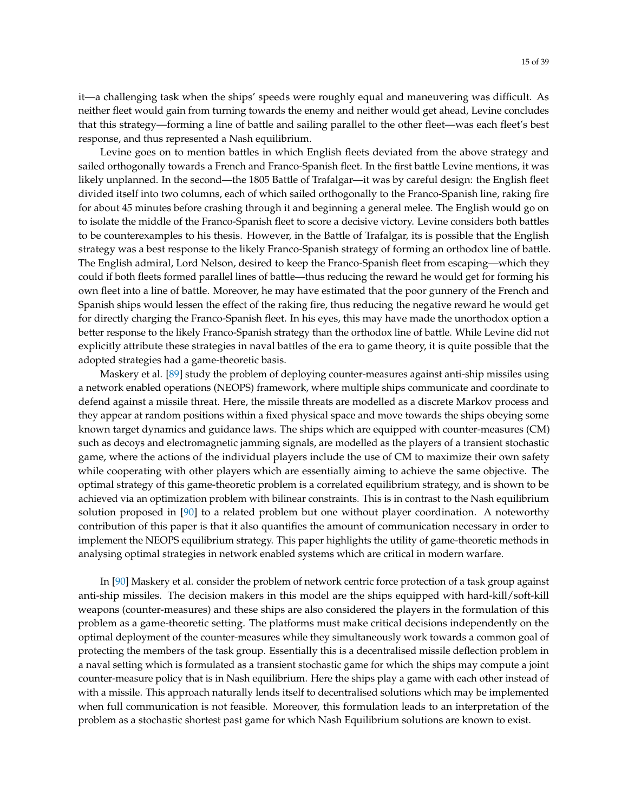it—a challenging task when the ships' speeds were roughly equal and maneuvering was difficult. As neither fleet would gain from turning towards the enemy and neither would get ahead, Levine concludes that this strategy—forming a line of battle and sailing parallel to the other fleet—was each fleet's best response, and thus represented a Nash equilibrium.

Levine goes on to mention battles in which English fleets deviated from the above strategy and sailed orthogonally towards a French and Franco-Spanish fleet. In the first battle Levine mentions, it was likely unplanned. In the second—the 1805 Battle of Trafalgar—it was by careful design: the English fleet divided itself into two columns, each of which sailed orthogonally to the Franco-Spanish line, raking fire for about 45 minutes before crashing through it and beginning a general melee. The English would go on to isolate the middle of the Franco-Spanish fleet to score a decisive victory. Levine considers both battles to be counterexamples to his thesis. However, in the Battle of Trafalgar, its is possible that the English strategy was a best response to the likely Franco-Spanish strategy of forming an orthodox line of battle. The English admiral, Lord Nelson, desired to keep the Franco-Spanish fleet from escaping—which they could if both fleets formed parallel lines of battle—thus reducing the reward he would get for forming his own fleet into a line of battle. Moreover, he may have estimated that the poor gunnery of the French and Spanish ships would lessen the effect of the raking fire, thus reducing the negative reward he would get for directly charging the Franco-Spanish fleet. In his eyes, this may have made the unorthodox option a better response to the likely Franco-Spanish strategy than the orthodox line of battle. While Levine did not explicitly attribute these strategies in naval battles of the era to game theory, it is quite possible that the adopted strategies had a game-theoretic basis.

Maskery et al. [\[89\]](#page-35-15) study the problem of deploying counter-measures against anti-ship missiles using a network enabled operations (NEOPS) framework, where multiple ships communicate and coordinate to defend against a missile threat. Here, the missile threats are modelled as a discrete Markov process and they appear at random positions within a fixed physical space and move towards the ships obeying some known target dynamics and guidance laws. The ships which are equipped with counter-measures (CM) such as decoys and electromagnetic jamming signals, are modelled as the players of a transient stochastic game, where the actions of the individual players include the use of CM to maximize their own safety while cooperating with other players which are essentially aiming to achieve the same objective. The optimal strategy of this game-theoretic problem is a correlated equilibrium strategy, and is shown to be achieved via an optimization problem with bilinear constraints. This is in contrast to the Nash equilibrium solution proposed in [\[90\]](#page-35-16) to a related problem but one without player coordination. A noteworthy contribution of this paper is that it also quantifies the amount of communication necessary in order to implement the NEOPS equilibrium strategy. This paper highlights the utility of game-theoretic methods in analysing optimal strategies in network enabled systems which are critical in modern warfare.

In [\[90\]](#page-35-16) Maskery et al. consider the problem of network centric force protection of a task group against anti-ship missiles. The decision makers in this model are the ships equipped with hard-kill/soft-kill weapons (counter-measures) and these ships are also considered the players in the formulation of this problem as a game-theoretic setting. The platforms must make critical decisions independently on the optimal deployment of the counter-measures while they simultaneously work towards a common goal of protecting the members of the task group. Essentially this is a decentralised missile deflection problem in a naval setting which is formulated as a transient stochastic game for which the ships may compute a joint counter-measure policy that is in Nash equilibrium. Here the ships play a game with each other instead of with a missile. This approach naturally lends itself to decentralised solutions which may be implemented when full communication is not feasible. Moreover, this formulation leads to an interpretation of the problem as a stochastic shortest past game for which Nash Equilibrium solutions are known to exist.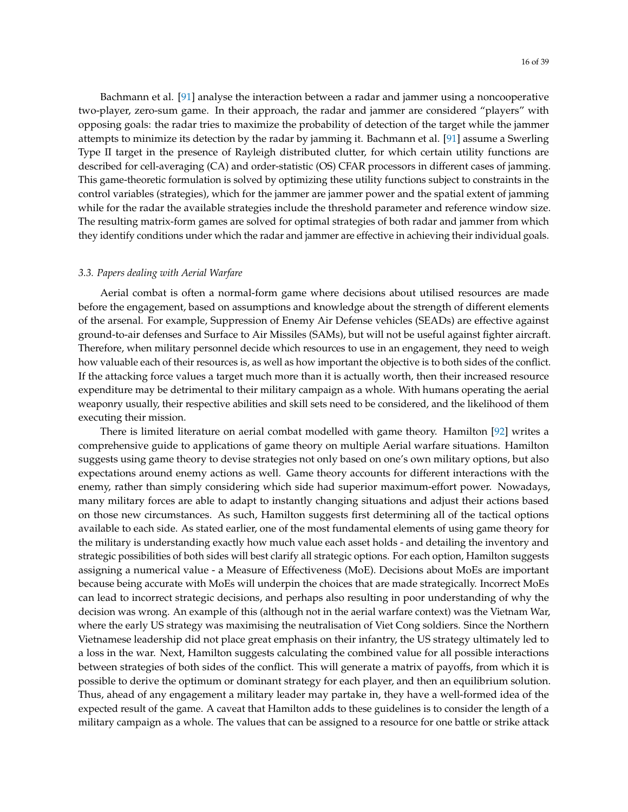Bachmann et al. [\[91\]](#page-35-17) analyse the interaction between a radar and jammer using a noncooperative two-player, zero-sum game. In their approach, the radar and jammer are considered "players" with opposing goals: the radar tries to maximize the probability of detection of the target while the jammer attempts to minimize its detection by the radar by jamming it. Bachmann et al. [\[91\]](#page-35-17) assume a Swerling Type II target in the presence of Rayleigh distributed clutter, for which certain utility functions are described for cell-averaging (CA) and order-statistic (OS) CFAR processors in different cases of jamming. This game-theoretic formulation is solved by optimizing these utility functions subject to constraints in the control variables (strategies), which for the jammer are jammer power and the spatial extent of jamming while for the radar the available strategies include the threshold parameter and reference window size. The resulting matrix-form games are solved for optimal strategies of both radar and jammer from which they identify conditions under which the radar and jammer are effective in achieving their individual goals.

#### *3.3. Papers dealing with Aerial Warfare*

Aerial combat is often a normal-form game where decisions about utilised resources are made before the engagement, based on assumptions and knowledge about the strength of different elements of the arsenal. For example, Suppression of Enemy Air Defense vehicles (SEADs) are effective against ground-to-air defenses and Surface to Air Missiles (SAMs), but will not be useful against fighter aircraft. Therefore, when military personnel decide which resources to use in an engagement, they need to weigh how valuable each of their resources is, as well as how important the objective is to both sides of the conflict. If the attacking force values a target much more than it is actually worth, then their increased resource expenditure may be detrimental to their military campaign as a whole. With humans operating the aerial weaponry usually, their respective abilities and skill sets need to be considered, and the likelihood of them executing their mission.

There is limited literature on aerial combat modelled with game theory. Hamilton [\[92\]](#page-35-18) writes a comprehensive guide to applications of game theory on multiple Aerial warfare situations. Hamilton suggests using game theory to devise strategies not only based on one's own military options, but also expectations around enemy actions as well. Game theory accounts for different interactions with the enemy, rather than simply considering which side had superior maximum-effort power. Nowadays, many military forces are able to adapt to instantly changing situations and adjust their actions based on those new circumstances. As such, Hamilton suggests first determining all of the tactical options available to each side. As stated earlier, one of the most fundamental elements of using game theory for the military is understanding exactly how much value each asset holds - and detailing the inventory and strategic possibilities of both sides will best clarify all strategic options. For each option, Hamilton suggests assigning a numerical value - a Measure of Effectiveness (MoE). Decisions about MoEs are important because being accurate with MoEs will underpin the choices that are made strategically. Incorrect MoEs can lead to incorrect strategic decisions, and perhaps also resulting in poor understanding of why the decision was wrong. An example of this (although not in the aerial warfare context) was the Vietnam War, where the early US strategy was maximising the neutralisation of Viet Cong soldiers. Since the Northern Vietnamese leadership did not place great emphasis on their infantry, the US strategy ultimately led to a loss in the war. Next, Hamilton suggests calculating the combined value for all possible interactions between strategies of both sides of the conflict. This will generate a matrix of payoffs, from which it is possible to derive the optimum or dominant strategy for each player, and then an equilibrium solution. Thus, ahead of any engagement a military leader may partake in, they have a well-formed idea of the expected result of the game. A caveat that Hamilton adds to these guidelines is to consider the length of a military campaign as a whole. The values that can be assigned to a resource for one battle or strike attack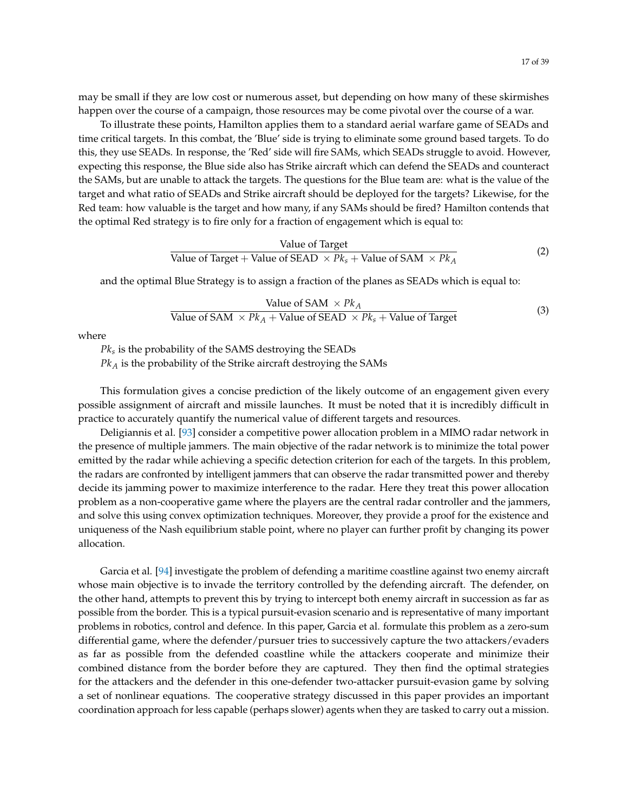may be small if they are low cost or numerous asset, but depending on how many of these skirmishes happen over the course of a campaign, those resources may be come pivotal over the course of a war.

To illustrate these points, Hamilton applies them to a standard aerial warfare game of SEADs and time critical targets. In this combat, the 'Blue' side is trying to eliminate some ground based targets. To do this, they use SEADs. In response, the 'Red' side will fire SAMs, which SEADs struggle to avoid. However, expecting this response, the Blue side also has Strike aircraft which can defend the SEADs and counteract the SAMs, but are unable to attack the targets. The questions for the Blue team are: what is the value of the target and what ratio of SEADs and Strike aircraft should be deployed for the targets? Likewise, for the Red team: how valuable is the target and how many, if any SAMs should be fired? Hamilton contends that the optimal Red strategy is to fire only for a fraction of engagement which is equal to:

Value of Target  
Value of Target + Value of SEAD 
$$
\times Pk_s
$$
 + Value of SAM  $\times Pk_A$  (2)

and the optimal Blue Strategy is to assign a fraction of the planes as SEADs which is equal to:

Value of SAM × 
$$
Pk_A
$$
  
Value of SAM ×  $Pk_A$  + Value of SEAD ×  $Pk_s$  + Value of Target

where

*Pk<sup>s</sup>* is the probability of the SAMS destroying the SEADs

*Pk<sup>A</sup>* is the probability of the Strike aircraft destroying the SAMs

This formulation gives a concise prediction of the likely outcome of an engagement given every possible assignment of aircraft and missile launches. It must be noted that it is incredibly difficult in practice to accurately quantify the numerical value of different targets and resources.

Deligiannis et al. [\[93\]](#page-35-19) consider a competitive power allocation problem in a MIMO radar network in the presence of multiple jammers. The main objective of the radar network is to minimize the total power emitted by the radar while achieving a specific detection criterion for each of the targets. In this problem, the radars are confronted by intelligent jammers that can observe the radar transmitted power and thereby decide its jamming power to maximize interference to the radar. Here they treat this power allocation problem as a non-cooperative game where the players are the central radar controller and the jammers, and solve this using convex optimization techniques. Moreover, they provide a proof for the existence and uniqueness of the Nash equilibrium stable point, where no player can further profit by changing its power allocation.

Garcia et al. [\[94\]](#page-35-20) investigate the problem of defending a maritime coastline against two enemy aircraft whose main objective is to invade the territory controlled by the defending aircraft. The defender, on the other hand, attempts to prevent this by trying to intercept both enemy aircraft in succession as far as possible from the border. This is a typical pursuit-evasion scenario and is representative of many important problems in robotics, control and defence. In this paper, Garcia et al. formulate this problem as a zero-sum differential game, where the defender/pursuer tries to successively capture the two attackers/evaders as far as possible from the defended coastline while the attackers cooperate and minimize their combined distance from the border before they are captured. They then find the optimal strategies for the attackers and the defender in this one-defender two-attacker pursuit-evasion game by solving a set of nonlinear equations. The cooperative strategy discussed in this paper provides an important coordination approach for less capable (perhaps slower) agents when they are tasked to carry out a mission.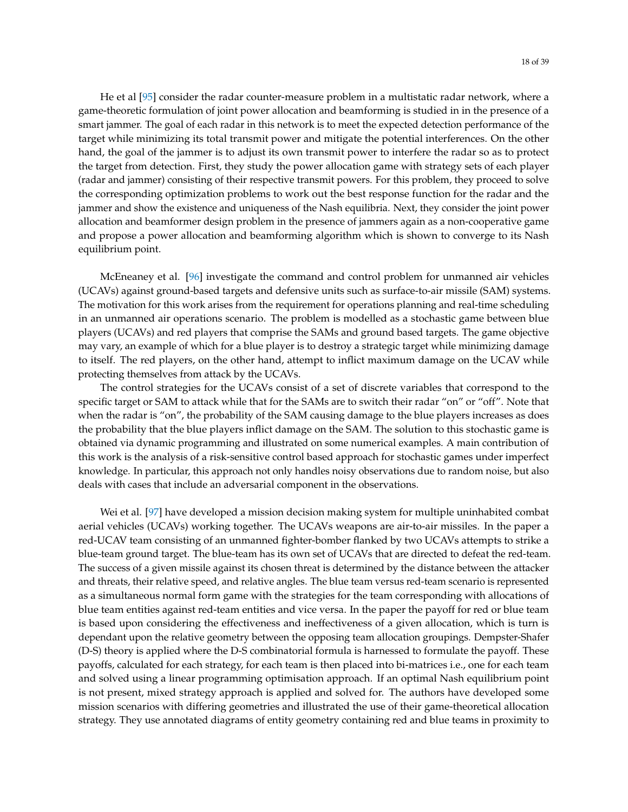He et al [\[95\]](#page-35-21) consider the radar counter-measure problem in a multistatic radar network, where a game-theoretic formulation of joint power allocation and beamforming is studied in in the presence of a smart jammer. The goal of each radar in this network is to meet the expected detection performance of the target while minimizing its total transmit power and mitigate the potential interferences. On the other hand, the goal of the jammer is to adjust its own transmit power to interfere the radar so as to protect the target from detection. First, they study the power allocation game with strategy sets of each player (radar and jammer) consisting of their respective transmit powers. For this problem, they proceed to solve the corresponding optimization problems to work out the best response function for the radar and the jammer and show the existence and uniqueness of the Nash equilibria. Next, they consider the joint power allocation and beamformer design problem in the presence of jammers again as a non-cooperative game and propose a power allocation and beamforming algorithm which is shown to converge to its Nash equilibrium point.

McEneaney et al. [\[96\]](#page-35-22) investigate the command and control problem for unmanned air vehicles (UCAVs) against ground-based targets and defensive units such as surface-to-air missile (SAM) systems. The motivation for this work arises from the requirement for operations planning and real-time scheduling in an unmanned air operations scenario. The problem is modelled as a stochastic game between blue players (UCAVs) and red players that comprise the SAMs and ground based targets. The game objective may vary, an example of which for a blue player is to destroy a strategic target while minimizing damage to itself. The red players, on the other hand, attempt to inflict maximum damage on the UCAV while protecting themselves from attack by the UCAVs.

The control strategies for the UCAVs consist of a set of discrete variables that correspond to the specific target or SAM to attack while that for the SAMs are to switch their radar "on" or "off". Note that when the radar is "on", the probability of the SAM causing damage to the blue players increases as does the probability that the blue players inflict damage on the SAM. The solution to this stochastic game is obtained via dynamic programming and illustrated on some numerical examples. A main contribution of this work is the analysis of a risk-sensitive control based approach for stochastic games under imperfect knowledge. In particular, this approach not only handles noisy observations due to random noise, but also deals with cases that include an adversarial component in the observations.

Wei et al. [\[97\]](#page-35-23) have developed a mission decision making system for multiple uninhabited combat aerial vehicles (UCAVs) working together. The UCAVs weapons are air-to-air missiles. In the paper a red-UCAV team consisting of an unmanned fighter-bomber flanked by two UCAVs attempts to strike a blue-team ground target. The blue-team has its own set of UCAVs that are directed to defeat the red-team. The success of a given missile against its chosen threat is determined by the distance between the attacker and threats, their relative speed, and relative angles. The blue team versus red-team scenario is represented as a simultaneous normal form game with the strategies for the team corresponding with allocations of blue team entities against red-team entities and vice versa. In the paper the payoff for red or blue team is based upon considering the effectiveness and ineffectiveness of a given allocation, which is turn is dependant upon the relative geometry between the opposing team allocation groupings. Dempster-Shafer (D-S) theory is applied where the D-S combinatorial formula is harnessed to formulate the payoff. These payoffs, calculated for each strategy, for each team is then placed into bi-matrices i.e., one for each team and solved using a linear programming optimisation approach. If an optimal Nash equilibrium point is not present, mixed strategy approach is applied and solved for. The authors have developed some mission scenarios with differing geometries and illustrated the use of their game-theoretical allocation strategy. They use annotated diagrams of entity geometry containing red and blue teams in proximity to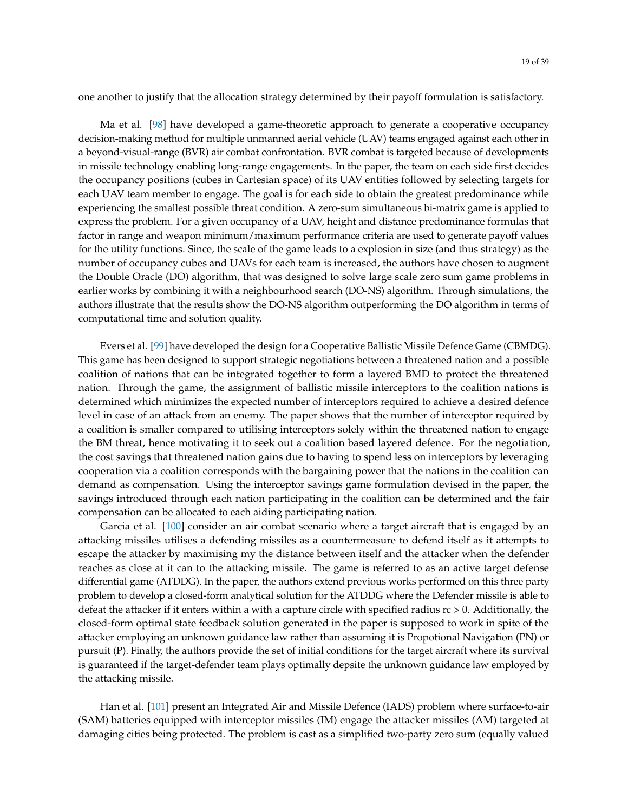one another to justify that the allocation strategy determined by their payoff formulation is satisfactory.

Ma et al. [\[98\]](#page-35-24) have developed a game-theoretic approach to generate a cooperative occupancy decision-making method for multiple unmanned aerial vehicle (UAV) teams engaged against each other in a beyond-visual-range (BVR) air combat confrontation. BVR combat is targeted because of developments in missile technology enabling long-range engagements. In the paper, the team on each side first decides the occupancy positions (cubes in Cartesian space) of its UAV entities followed by selecting targets for each UAV team member to engage. The goal is for each side to obtain the greatest predominance while experiencing the smallest possible threat condition. A zero-sum simultaneous bi-matrix game is applied to express the problem. For a given occupancy of a UAV, height and distance predominance formulas that factor in range and weapon minimum/maximum performance criteria are used to generate payoff values for the utility functions. Since, the scale of the game leads to a explosion in size (and thus strategy) as the number of occupancy cubes and UAVs for each team is increased, the authors have chosen to augment the Double Oracle (DO) algorithm, that was designed to solve large scale zero sum game problems in earlier works by combining it with a neighbourhood search (DO-NS) algorithm. Through simulations, the authors illustrate that the results show the DO-NS algorithm outperforming the DO algorithm in terms of computational time and solution quality.

Evers et al. [\[99\]](#page-36-0) have developed the design for a Cooperative Ballistic Missile Defence Game (CBMDG). This game has been designed to support strategic negotiations between a threatened nation and a possible coalition of nations that can be integrated together to form a layered BMD to protect the threatened nation. Through the game, the assignment of ballistic missile interceptors to the coalition nations is determined which minimizes the expected number of interceptors required to achieve a desired defence level in case of an attack from an enemy. The paper shows that the number of interceptor required by a coalition is smaller compared to utilising interceptors solely within the threatened nation to engage the BM threat, hence motivating it to seek out a coalition based layered defence. For the negotiation, the cost savings that threatened nation gains due to having to spend less on interceptors by leveraging cooperation via a coalition corresponds with the bargaining power that the nations in the coalition can demand as compensation. Using the interceptor savings game formulation devised in the paper, the savings introduced through each nation participating in the coalition can be determined and the fair compensation can be allocated to each aiding participating nation.

Garcia et al. [\[100\]](#page-36-1) consider an air combat scenario where a target aircraft that is engaged by an attacking missiles utilises a defending missiles as a countermeasure to defend itself as it attempts to escape the attacker by maximising my the distance between itself and the attacker when the defender reaches as close at it can to the attacking missile. The game is referred to as an active target defense differential game (ATDDG). In the paper, the authors extend previous works performed on this three party problem to develop a closed-form analytical solution for the ATDDG where the Defender missile is able to defeat the attacker if it enters within a with a capture circle with specified radius  $rc > 0$ . Additionally, the closed-form optimal state feedback solution generated in the paper is supposed to work in spite of the attacker employing an unknown guidance law rather than assuming it is Propotional Navigation (PN) or pursuit (P). Finally, the authors provide the set of initial conditions for the target aircraft where its survival is guaranteed if the target-defender team plays optimally depsite the unknown guidance law employed by the attacking missile.

Han et al. [\[101\]](#page-36-2) present an Integrated Air and Missile Defence (IADS) problem where surface-to-air (SAM) batteries equipped with interceptor missiles (IM) engage the attacker missiles (AM) targeted at damaging cities being protected. The problem is cast as a simplified two-party zero sum (equally valued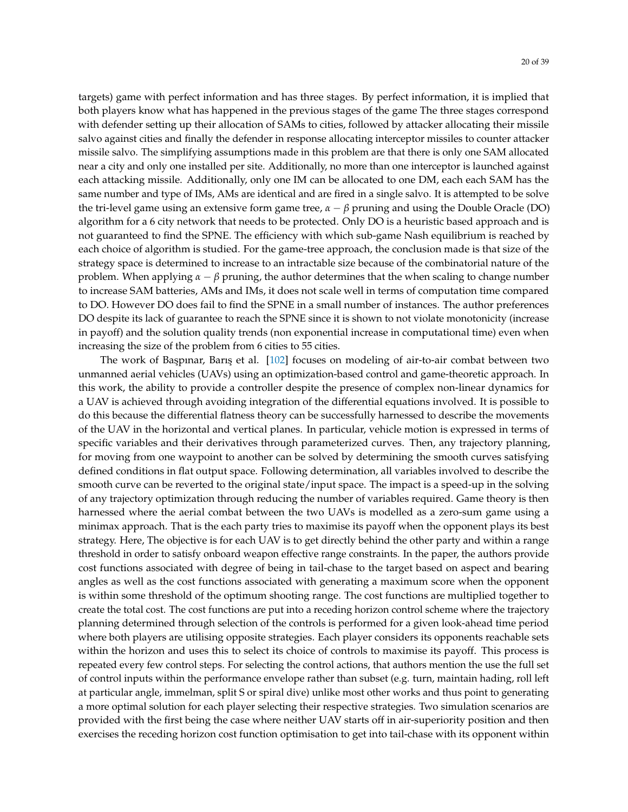targets) game with perfect information and has three stages. By perfect information, it is implied that both players know what has happened in the previous stages of the game The three stages correspond with defender setting up their allocation of SAMs to cities, followed by attacker allocating their missile salvo against cities and finally the defender in response allocating interceptor missiles to counter attacker missile salvo. The simplifying assumptions made in this problem are that there is only one SAM allocated near a city and only one installed per site. Additionally, no more than one interceptor is launched against each attacking missile. Additionally, only one IM can be allocated to one DM, each each SAM has the same number and type of IMs, AMs are identical and are fired in a single salvo. It is attempted to be solve the tri-level game using an extensive form game tree,  $α - β$  pruning and using the Double Oracle (DO) algorithm for a 6 city network that needs to be protected. Only DO is a heuristic based approach and is not guaranteed to find the SPNE. The efficiency with which sub-game Nash equilibrium is reached by each choice of algorithm is studied. For the game-tree approach, the conclusion made is that size of the strategy space is determined to increase to an intractable size because of the combinatorial nature of the problem. When applying *α* − *β* pruning, the author determines that the when scaling to change number to increase SAM batteries, AMs and IMs, it does not scale well in terms of computation time compared to DO. However DO does fail to find the SPNE in a small number of instances. The author preferences DO despite its lack of guarantee to reach the SPNE since it is shown to not violate monotonicity (increase in payoff) and the solution quality trends (non exponential increase in computational time) even when increasing the size of the problem from 6 cities to 55 cities.

The work of Başpınar, Barış et al. [\[102\]](#page-36-3) focuses on modeling of air-to-air combat between two unmanned aerial vehicles (UAVs) using an optimization-based control and game-theoretic approach. In this work, the ability to provide a controller despite the presence of complex non-linear dynamics for a UAV is achieved through avoiding integration of the differential equations involved. It is possible to do this because the differential flatness theory can be successfully harnessed to describe the movements of the UAV in the horizontal and vertical planes. In particular, vehicle motion is expressed in terms of specific variables and their derivatives through parameterized curves. Then, any trajectory planning, for moving from one waypoint to another can be solved by determining the smooth curves satisfying defined conditions in flat output space. Following determination, all variables involved to describe the smooth curve can be reverted to the original state/input space. The impact is a speed-up in the solving of any trajectory optimization through reducing the number of variables required. Game theory is then harnessed where the aerial combat between the two UAVs is modelled as a zero-sum game using a minimax approach. That is the each party tries to maximise its payoff when the opponent plays its best strategy. Here, The objective is for each UAV is to get directly behind the other party and within a range threshold in order to satisfy onboard weapon effective range constraints. In the paper, the authors provide cost functions associated with degree of being in tail-chase to the target based on aspect and bearing angles as well as the cost functions associated with generating a maximum score when the opponent is within some threshold of the optimum shooting range. The cost functions are multiplied together to create the total cost. The cost functions are put into a receding horizon control scheme where the trajectory planning determined through selection of the controls is performed for a given look-ahead time period where both players are utilising opposite strategies. Each player considers its opponents reachable sets within the horizon and uses this to select its choice of controls to maximise its payoff. This process is repeated every few control steps. For selecting the control actions, that authors mention the use the full set of control inputs within the performance envelope rather than subset (e.g. turn, maintain hading, roll left at particular angle, immelman, split S or spiral dive) unlike most other works and thus point to generating a more optimal solution for each player selecting their respective strategies. Two simulation scenarios are provided with the first being the case where neither UAV starts off in air-superiority position and then exercises the receding horizon cost function optimisation to get into tail-chase with its opponent within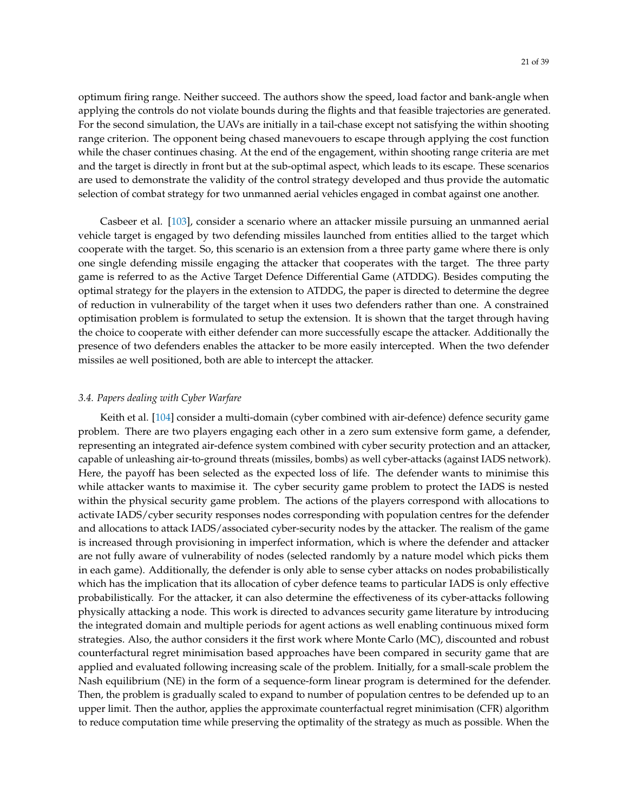optimum firing range. Neither succeed. The authors show the speed, load factor and bank-angle when applying the controls do not violate bounds during the flights and that feasible trajectories are generated. For the second simulation, the UAVs are initially in a tail-chase except not satisfying the within shooting range criterion. The opponent being chased manevouers to escape through applying the cost function while the chaser continues chasing. At the end of the engagement, within shooting range criteria are met and the target is directly in front but at the sub-optimal aspect, which leads to its escape. These scenarios are used to demonstrate the validity of the control strategy developed and thus provide the automatic selection of combat strategy for two unmanned aerial vehicles engaged in combat against one another.

Casbeer et al. [\[103\]](#page-36-4), consider a scenario where an attacker missile pursuing an unmanned aerial vehicle target is engaged by two defending missiles launched from entities allied to the target which cooperate with the target. So, this scenario is an extension from a three party game where there is only one single defending missile engaging the attacker that cooperates with the target. The three party game is referred to as the Active Target Defence Differential Game (ATDDG). Besides computing the optimal strategy for the players in the extension to ATDDG, the paper is directed to determine the degree of reduction in vulnerability of the target when it uses two defenders rather than one. A constrained optimisation problem is formulated to setup the extension. It is shown that the target through having the choice to cooperate with either defender can more successfully escape the attacker. Additionally the presence of two defenders enables the attacker to be more easily intercepted. When the two defender missiles ae well positioned, both are able to intercept the attacker.

## *3.4. Papers dealing with Cyber Warfare*

Keith et al. [\[104\]](#page-36-5) consider a multi-domain (cyber combined with air-defence) defence security game problem. There are two players engaging each other in a zero sum extensive form game, a defender, representing an integrated air-defence system combined with cyber security protection and an attacker, capable of unleashing air-to-ground threats (missiles, bombs) as well cyber-attacks (against IADS network). Here, the payoff has been selected as the expected loss of life. The defender wants to minimise this while attacker wants to maximise it. The cyber security game problem to protect the IADS is nested within the physical security game problem. The actions of the players correspond with allocations to activate IADS/cyber security responses nodes corresponding with population centres for the defender and allocations to attack IADS/associated cyber-security nodes by the attacker. The realism of the game is increased through provisioning in imperfect information, which is where the defender and attacker are not fully aware of vulnerability of nodes (selected randomly by a nature model which picks them in each game). Additionally, the defender is only able to sense cyber attacks on nodes probabilistically which has the implication that its allocation of cyber defence teams to particular IADS is only effective probabilistically. For the attacker, it can also determine the effectiveness of its cyber-attacks following physically attacking a node. This work is directed to advances security game literature by introducing the integrated domain and multiple periods for agent actions as well enabling continuous mixed form strategies. Also, the author considers it the first work where Monte Carlo (MC), discounted and robust counterfactural regret minimisation based approaches have been compared in security game that are applied and evaluated following increasing scale of the problem. Initially, for a small-scale problem the Nash equilibrium (NE) in the form of a sequence-form linear program is determined for the defender. Then, the problem is gradually scaled to expand to number of population centres to be defended up to an upper limit. Then the author, applies the approximate counterfactual regret minimisation (CFR) algorithm to reduce computation time while preserving the optimality of the strategy as much as possible. When the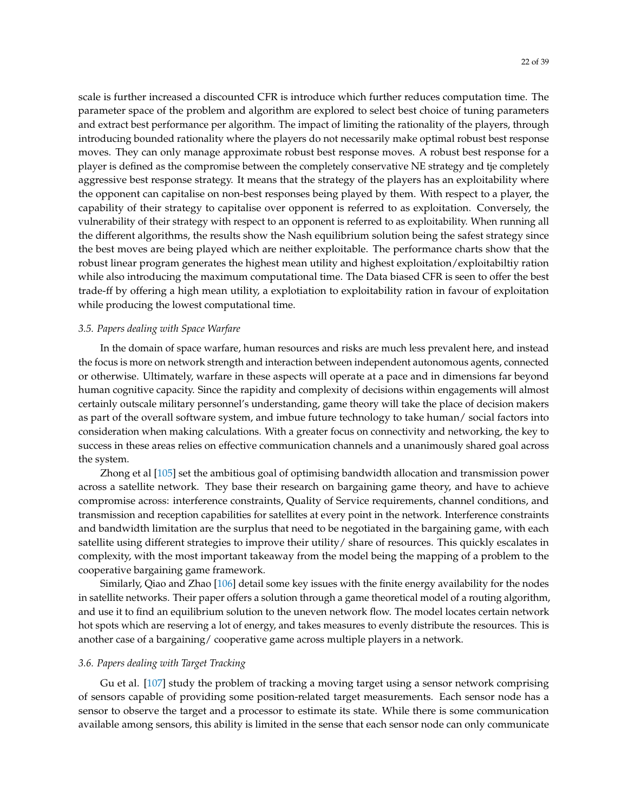scale is further increased a discounted CFR is introduce which further reduces computation time. The parameter space of the problem and algorithm are explored to select best choice of tuning parameters and extract best performance per algorithm. The impact of limiting the rationality of the players, through introducing bounded rationality where the players do not necessarily make optimal robust best response moves. They can only manage approximate robust best response moves. A robust best response for a player is defined as the compromise between the completely conservative NE strategy and tje completely aggressive best response strategy. It means that the strategy of the players has an exploitability where the opponent can capitalise on non-best responses being played by them. With respect to a player, the capability of their strategy to capitalise over opponent is referred to as exploitation. Conversely, the vulnerability of their strategy with respect to an opponent is referred to as exploitability. When running all the different algorithms, the results show the Nash equilibrium solution being the safest strategy since the best moves are being played which are neither exploitable. The performance charts show that the robust linear program generates the highest mean utility and highest exploitation/exploitabiltiy ration while also introducing the maximum computational time. The Data biased CFR is seen to offer the best trade-ff by offering a high mean utility, a explotiation to exploitability ration in favour of exploitation while producing the lowest computational time.

#### *3.5. Papers dealing with Space Warfare*

In the domain of space warfare, human resources and risks are much less prevalent here, and instead the focus is more on network strength and interaction between independent autonomous agents, connected or otherwise. Ultimately, warfare in these aspects will operate at a pace and in dimensions far beyond human cognitive capacity. Since the rapidity and complexity of decisions within engagements will almost certainly outscale military personnel's understanding, game theory will take the place of decision makers as part of the overall software system, and imbue future technology to take human/ social factors into consideration when making calculations. With a greater focus on connectivity and networking, the key to success in these areas relies on effective communication channels and a unanimously shared goal across the system.

Zhong et al [\[105\]](#page-36-6) set the ambitious goal of optimising bandwidth allocation and transmission power across a satellite network. They base their research on bargaining game theory, and have to achieve compromise across: interference constraints, Quality of Service requirements, channel conditions, and transmission and reception capabilities for satellites at every point in the network. Interference constraints and bandwidth limitation are the surplus that need to be negotiated in the bargaining game, with each satellite using different strategies to improve their utility/ share of resources. This quickly escalates in complexity, with the most important takeaway from the model being the mapping of a problem to the cooperative bargaining game framework.

Similarly, Qiao and Zhao [\[106\]](#page-36-7) detail some key issues with the finite energy availability for the nodes in satellite networks. Their paper offers a solution through a game theoretical model of a routing algorithm, and use it to find an equilibrium solution to the uneven network flow. The model locates certain network hot spots which are reserving a lot of energy, and takes measures to evenly distribute the resources. This is another case of a bargaining/ cooperative game across multiple players in a network.

## *3.6. Papers dealing with Target Tracking*

Gu et al. [\[107\]](#page-36-8) study the problem of tracking a moving target using a sensor network comprising of sensors capable of providing some position-related target measurements. Each sensor node has a sensor to observe the target and a processor to estimate its state. While there is some communication available among sensors, this ability is limited in the sense that each sensor node can only communicate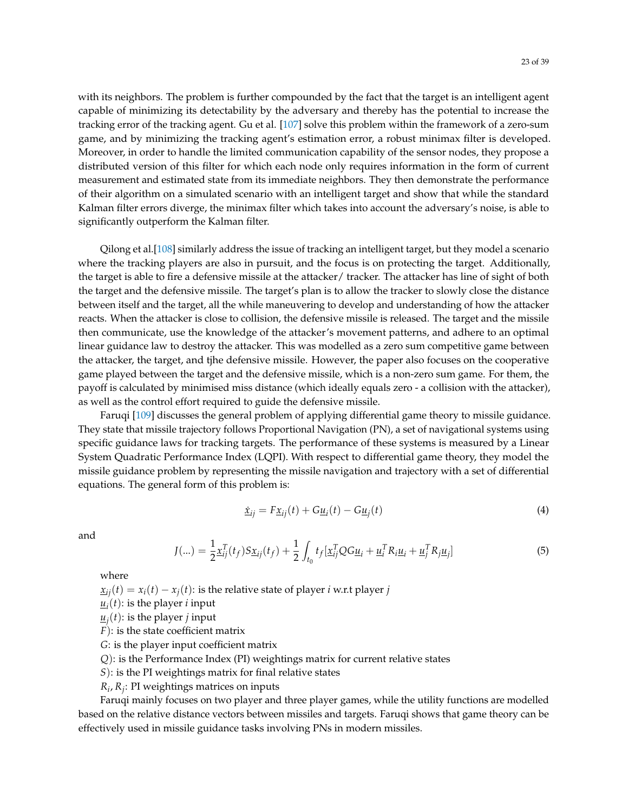with its neighbors. The problem is further compounded by the fact that the target is an intelligent agent capable of minimizing its detectability by the adversary and thereby has the potential to increase the tracking error of the tracking agent. Gu et al. [\[107\]](#page-36-8) solve this problem within the framework of a zero-sum game, and by minimizing the tracking agent's estimation error, a robust minimax filter is developed. Moreover, in order to handle the limited communication capability of the sensor nodes, they propose a distributed version of this filter for which each node only requires information in the form of current measurement and estimated state from its immediate neighbors. They then demonstrate the performance of their algorithm on a simulated scenario with an intelligent target and show that while the standard Kalman filter errors diverge, the minimax filter which takes into account the adversary's noise, is able to significantly outperform the Kalman filter.

Qilong et al.[\[108\]](#page-36-9) similarly address the issue of tracking an intelligent target, but they model a scenario where the tracking players are also in pursuit, and the focus is on protecting the target. Additionally, the target is able to fire a defensive missile at the attacker/ tracker. The attacker has line of sight of both the target and the defensive missile. The target's plan is to allow the tracker to slowly close the distance between itself and the target, all the while maneuvering to develop and understanding of how the attacker reacts. When the attacker is close to collision, the defensive missile is released. The target and the missile then communicate, use the knowledge of the attacker's movement patterns, and adhere to an optimal linear guidance law to destroy the attacker. This was modelled as a zero sum competitive game between the attacker, the target, and tjhe defensive missile. However, the paper also focuses on the cooperative game played between the target and the defensive missile, which is a non-zero sum game. For them, the payoff is calculated by minimised miss distance (which ideally equals zero - a collision with the attacker), as well as the control effort required to guide the defensive missile.

Faruqi [\[109\]](#page-36-10) discusses the general problem of applying differential game theory to missile guidance. They state that missile trajectory follows Proportional Navigation (PN), a set of navigational systems using specific guidance laws for tracking targets. The performance of these systems is measured by a Linear System Quadratic Performance Index (LQPI). With respect to differential game theory, they model the missile guidance problem by representing the missile navigation and trajectory with a set of differential equations. The general form of this problem is:

$$
\dot{\underline{x}}_{ij} = F \underline{x}_{ij}(t) + G \underline{u}_i(t) - G \underline{u}_j(t) \tag{4}
$$

and

$$
J(...) = \frac{1}{2} \underline{x}_{ij}^T(t_f) S \underline{x}_{ij}(t_f) + \frac{1}{2} \int_{t_0} t_f [\underline{x}_{ij}^T Q G \underline{u}_i + \underline{u}_i^T R_i \underline{u}_i + \underline{u}_j^T R_j \underline{u}_j]
$$
(5)

where

 $x_{ii}(t) = x_i(t) - x_j(t)$ : is the relative state of player *i* w.r.t player *j* 

- $\underline{u}_i(t)$ : is the player *i* input
- $\underline{u}_j(t)$ : is the player *j* input
- *F*): is the state coefficient matrix

*G*: is the player input coefficient matrix

*Q*): is the Performance Index (PI) weightings matrix for current relative states

*S*): is the PI weightings matrix for final relative states

*Ri* , *R<sup>j</sup>* : PI weightings matrices on inputs

Faruqi mainly focuses on two player and three player games, while the utility functions are modelled based on the relative distance vectors between missiles and targets. Faruqi shows that game theory can be effectively used in missile guidance tasks involving PNs in modern missiles.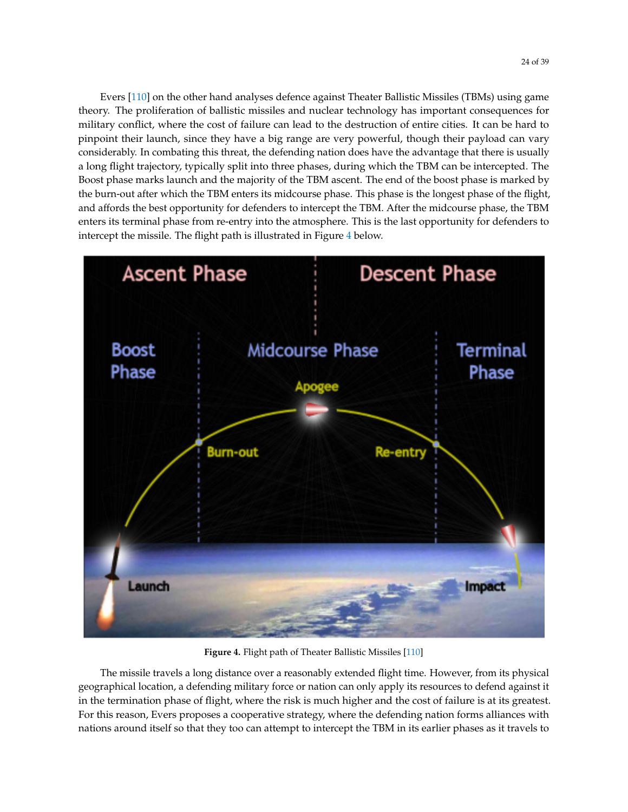Evers [\[110\]](#page-36-11) on the other hand analyses defence against Theater Ballistic Missiles (TBMs) using game theory. The proliferation of ballistic missiles and nuclear technology has important consequences for military conflict, where the cost of failure can lead to the destruction of entire cities. It can be hard to pinpoint their launch, since they have a big range are very powerful, though their payload can vary considerably. In combating this threat, the defending nation does have the advantage that there is usually a long flight trajectory, typically split into three phases, during which the TBM can be intercepted. The Boost phase marks launch and the majority of the TBM ascent. The end of the boost phase is marked by the burn-out after which the TBM enters its midcourse phase. This phase is the longest phase of the flight, and affords the best opportunity for defenders to intercept the TBM. After the midcourse phase, the TBM enters its terminal phase from re-entry into the atmosphere. This is the last opportunity for defenders to intercept the missile. The flight path is illustrated in Figure [4](#page-23-0) below.

<span id="page-23-0"></span>

**Figure 4.** Flight path of Theater Ballistic Missiles [\[110\]](#page-36-11)

The missile travels a long distance over a reasonably extended flight time. However, from its physical geographical location, a defending military force or nation can only apply its resources to defend against it in the termination phase of flight, where the risk is much higher and the cost of failure is at its greatest. For this reason, Evers proposes a cooperative strategy, where the defending nation forms alliances with nations around itself so that they too can attempt to intercept the TBM in its earlier phases as it travels to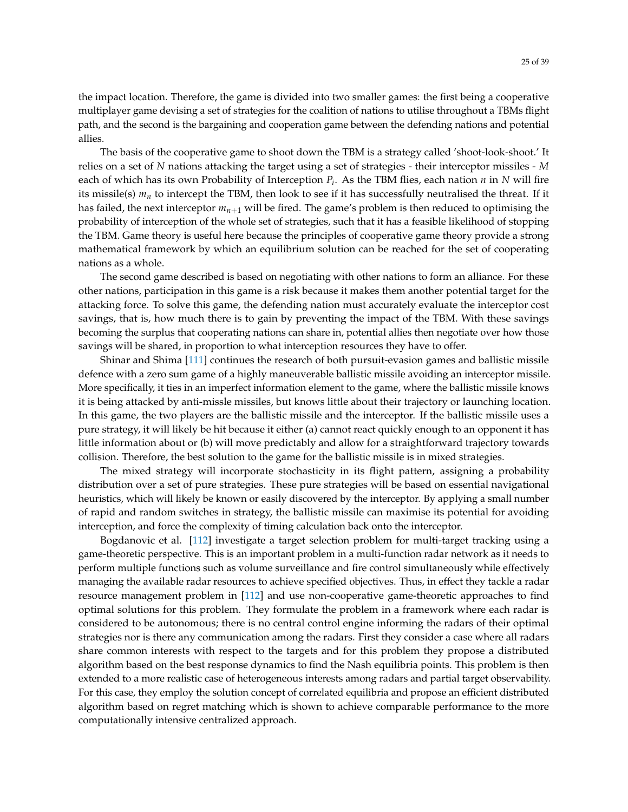the impact location. Therefore, the game is divided into two smaller games: the first being a cooperative multiplayer game devising a set of strategies for the coalition of nations to utilise throughout a TBMs flight path, and the second is the bargaining and cooperation game between the defending nations and potential allies.

The basis of the cooperative game to shoot down the TBM is a strategy called 'shoot-look-shoot.' It relies on a set of *N* nations attacking the target using a set of strategies - their interceptor missiles - *M* each of which has its own Probability of Interception *P<sup>i</sup>* . As the TBM flies, each nation *n* in *N* will fire its missile(s)  $m_n$  to intercept the TBM, then look to see if it has successfully neutralised the threat. If it has failed, the next interceptor *mn*+<sup>1</sup> will be fired. The game's problem is then reduced to optimising the probability of interception of the whole set of strategies, such that it has a feasible likelihood of stopping the TBM. Game theory is useful here because the principles of cooperative game theory provide a strong mathematical framework by which an equilibrium solution can be reached for the set of cooperating nations as a whole.

The second game described is based on negotiating with other nations to form an alliance. For these other nations, participation in this game is a risk because it makes them another potential target for the attacking force. To solve this game, the defending nation must accurately evaluate the interceptor cost savings, that is, how much there is to gain by preventing the impact of the TBM. With these savings becoming the surplus that cooperating nations can share in, potential allies then negotiate over how those savings will be shared, in proportion to what interception resources they have to offer.

Shinar and Shima [\[111\]](#page-36-12) continues the research of both pursuit-evasion games and ballistic missile defence with a zero sum game of a highly maneuverable ballistic missile avoiding an interceptor missile. More specifically, it ties in an imperfect information element to the game, where the ballistic missile knows it is being attacked by anti-missle missiles, but knows little about their trajectory or launching location. In this game, the two players are the ballistic missile and the interceptor. If the ballistic missile uses a pure strategy, it will likely be hit because it either (a) cannot react quickly enough to an opponent it has little information about or (b) will move predictably and allow for a straightforward trajectory towards collision. Therefore, the best solution to the game for the ballistic missile is in mixed strategies.

The mixed strategy will incorporate stochasticity in its flight pattern, assigning a probability distribution over a set of pure strategies. These pure strategies will be based on essential navigational heuristics, which will likely be known or easily discovered by the interceptor. By applying a small number of rapid and random switches in strategy, the ballistic missile can maximise its potential for avoiding interception, and force the complexity of timing calculation back onto the interceptor.

Bogdanovic et al. [\[112\]](#page-36-13) investigate a target selection problem for multi-target tracking using a game-theoretic perspective. This is an important problem in a multi-function radar network as it needs to perform multiple functions such as volume surveillance and fire control simultaneously while effectively managing the available radar resources to achieve specified objectives. Thus, in effect they tackle a radar resource management problem in [\[112\]](#page-36-13) and use non-cooperative game-theoretic approaches to find optimal solutions for this problem. They formulate the problem in a framework where each radar is considered to be autonomous; there is no central control engine informing the radars of their optimal strategies nor is there any communication among the radars. First they consider a case where all radars share common interests with respect to the targets and for this problem they propose a distributed algorithm based on the best response dynamics to find the Nash equilibria points. This problem is then extended to a more realistic case of heterogeneous interests among radars and partial target observability. For this case, they employ the solution concept of correlated equilibria and propose an efficient distributed algorithm based on regret matching which is shown to achieve comparable performance to the more computationally intensive centralized approach.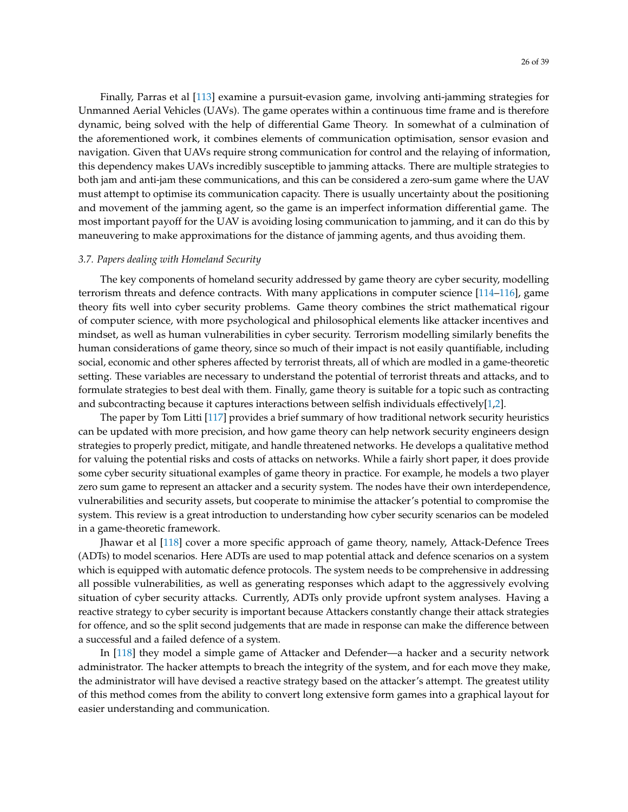Finally, Parras et al [\[113\]](#page-36-14) examine a pursuit-evasion game, involving anti-jamming strategies for Unmanned Aerial Vehicles (UAVs). The game operates within a continuous time frame and is therefore dynamic, being solved with the help of differential Game Theory. In somewhat of a culmination of the aforementioned work, it combines elements of communication optimisation, sensor evasion and navigation. Given that UAVs require strong communication for control and the relaying of information, this dependency makes UAVs incredibly susceptible to jamming attacks. There are multiple strategies to both jam and anti-jam these communications, and this can be considered a zero-sum game where the UAV must attempt to optimise its communication capacity. There is usually uncertainty about the positioning and movement of the jamming agent, so the game is an imperfect information differential game. The most important payoff for the UAV is avoiding losing communication to jamming, and it can do this by maneuvering to make approximations for the distance of jamming agents, and thus avoiding them.

#### *3.7. Papers dealing with Homeland Security*

The key components of homeland security addressed by game theory are cyber security, modelling terrorism threats and defence contracts. With many applications in computer science [\[114–](#page-36-15)[116\]](#page-36-16), game theory fits well into cyber security problems. Game theory combines the strict mathematical rigour of computer science, with more psychological and philosophical elements like attacker incentives and mindset, as well as human vulnerabilities in cyber security. Terrorism modelling similarly benefits the human considerations of game theory, since so much of their impact is not easily quantifiable, including social, economic and other spheres affected by terrorist threats, all of which are modled in a game-theoretic setting. These variables are necessary to understand the potential of terrorist threats and attacks, and to formulate strategies to best deal with them. Finally, game theory is suitable for a topic such as contracting and subcontracting because it captures interactions between selfish individuals effectively[\[1](#page-32-0)[,2\]](#page-32-11).

The paper by Tom Litti [\[117\]](#page-36-17) provides a brief summary of how traditional network security heuristics can be updated with more precision, and how game theory can help network security engineers design strategies to properly predict, mitigate, and handle threatened networks. He develops a qualitative method for valuing the potential risks and costs of attacks on networks. While a fairly short paper, it does provide some cyber security situational examples of game theory in practice. For example, he models a two player zero sum game to represent an attacker and a security system. The nodes have their own interdependence, vulnerabilities and security assets, but cooperate to minimise the attacker's potential to compromise the system. This review is a great introduction to understanding how cyber security scenarios can be modeled in a game-theoretic framework.

Jhawar et al [\[118\]](#page-36-18) cover a more specific approach of game theory, namely, Attack-Defence Trees (ADTs) to model scenarios. Here ADTs are used to map potential attack and defence scenarios on a system which is equipped with automatic defence protocols. The system needs to be comprehensive in addressing all possible vulnerabilities, as well as generating responses which adapt to the aggressively evolving situation of cyber security attacks. Currently, ADTs only provide upfront system analyses. Having a reactive strategy to cyber security is important because Attackers constantly change their attack strategies for offence, and so the split second judgements that are made in response can make the difference between a successful and a failed defence of a system.

In [\[118\]](#page-36-18) they model a simple game of Attacker and Defender—a hacker and a security network administrator. The hacker attempts to breach the integrity of the system, and for each move they make, the administrator will have devised a reactive strategy based on the attacker's attempt. The greatest utility of this method comes from the ability to convert long extensive form games into a graphical layout for easier understanding and communication.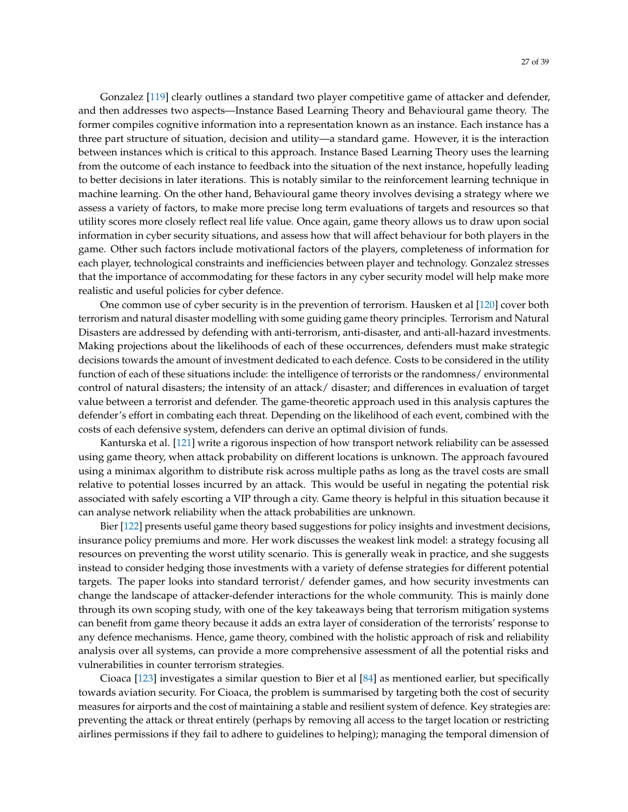Gonzalez [\[119\]](#page-36-19) clearly outlines a standard two player competitive game of attacker and defender, and then addresses two aspects—Instance Based Learning Theory and Behavioural game theory. The former compiles cognitive information into a representation known as an instance. Each instance has a three part structure of situation, decision and utility—a standard game. However, it is the interaction between instances which is critical to this approach. Instance Based Learning Theory uses the learning from the outcome of each instance to feedback into the situation of the next instance, hopefully leading to better decisions in later iterations. This is notably similar to the reinforcement learning technique in machine learning. On the other hand, Behavioural game theory involves devising a strategy where we assess a variety of factors, to make more precise long term evaluations of targets and resources so that utility scores more closely reflect real life value. Once again, game theory allows us to draw upon social information in cyber security situations, and assess how that will affect behaviour for both players in the game. Other such factors include motivational factors of the players, completeness of information for each player, technological constraints and inefficiencies between player and technology. Gonzalez stresses that the importance of accommodating for these factors in any cyber security model will help make more realistic and useful policies for cyber defence.

One common use of cyber security is in the prevention of terrorism. Hausken et al [\[120\]](#page-36-20) cover both terrorism and natural disaster modelling with some guiding game theory principles. Terrorism and Natural Disasters are addressed by defending with anti-terrorism, anti-disaster, and anti-all-hazard investments. Making projections about the likelihoods of each of these occurrences, defenders must make strategic decisions towards the amount of investment dedicated to each defence. Costs to be considered in the utility function of each of these situations include: the intelligence of terrorists or the randomness/ environmental control of natural disasters; the intensity of an attack/ disaster; and differences in evaluation of target value between a terrorist and defender. The game-theoretic approach used in this analysis captures the defender's effort in combating each threat. Depending on the likelihood of each event, combined with the costs of each defensive system, defenders can derive an optimal division of funds.

Kanturska et al. [\[121\]](#page-37-0) write a rigorous inspection of how transport network reliability can be assessed using game theory, when attack probability on different locations is unknown. The approach favoured using a minimax algorithm to distribute risk across multiple paths as long as the travel costs are small relative to potential losses incurred by an attack. This would be useful in negating the potential risk associated with safely escorting a VIP through a city. Game theory is helpful in this situation because it can analyse network reliability when the attack probabilities are unknown.

Bier [\[122\]](#page-37-1) presents useful game theory based suggestions for policy insights and investment decisions, insurance policy premiums and more. Her work discusses the weakest link model: a strategy focusing all resources on preventing the worst utility scenario. This is generally weak in practice, and she suggests instead to consider hedging those investments with a variety of defense strategies for different potential targets. The paper looks into standard terrorist/ defender games, and how security investments can change the landscape of attacker-defender interactions for the whole community. This is mainly done through its own scoping study, with one of the key takeaways being that terrorism mitigation systems can benefit from game theory because it adds an extra layer of consideration of the terrorists' response to any defence mechanisms. Hence, game theory, combined with the holistic approach of risk and reliability analysis over all systems, can provide a more comprehensive assessment of all the potential risks and vulnerabilities in counter terrorism strategies.

Cioaca [\[123\]](#page-37-2) investigates a similar question to Bier et al [\[84\]](#page-35-10) as mentioned earlier, but specifically towards aviation security. For Cioaca, the problem is summarised by targeting both the cost of security measures for airports and the cost of maintaining a stable and resilient system of defence. Key strategies are: preventing the attack or threat entirely (perhaps by removing all access to the target location or restricting airlines permissions if they fail to adhere to guidelines to helping); managing the temporal dimension of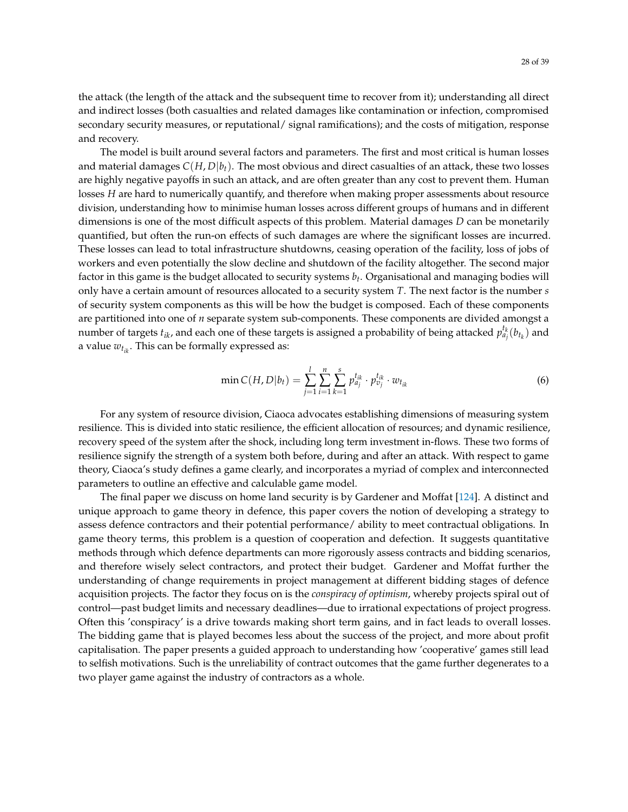the attack (the length of the attack and the subsequent time to recover from it); understanding all direct and indirect losses (both casualties and related damages like contamination or infection, compromised secondary security measures, or reputational/ signal ramifications); and the costs of mitigation, response and recovery.

The model is built around several factors and parameters. The first and most critical is human losses and material damages  $C(H, D|b_t)$ . The most obvious and direct casualties of an attack, these two losses are highly negative payoffs in such an attack, and are often greater than any cost to prevent them. Human losses *H* are hard to numerically quantify, and therefore when making proper assessments about resource division, understanding how to minimise human losses across different groups of humans and in different dimensions is one of the most difficult aspects of this problem. Material damages *D* can be monetarily quantified, but often the run-on effects of such damages are where the significant losses are incurred. These losses can lead to total infrastructure shutdowns, ceasing operation of the facility, loss of jobs of workers and even potentially the slow decline and shutdown of the facility altogether. The second major factor in this game is the budget allocated to security systems *b<sup>t</sup>* . Organisational and managing bodies will only have a certain amount of resources allocated to a security system *T*. The next factor is the number *s* of security system components as this will be how the budget is composed. Each of these components are partitioned into one of *n* separate system sub-components. These components are divided amongst a number of targets  $t_{ik}$ , and each one of these targets is assigned a probability of being attacked  $p_{a_j}^{t_k}(b_{t_k})$  and a value  $w_{t_{ik}}$ . This can be formally expressed as:

$$
\min C(H, D|b_t) = \sum_{j=1}^{l} \sum_{i=1}^{n} \sum_{k=1}^{s} p_{a_j}^{t_{ik}} \cdot p_{v_j}^{t_{ik}} \cdot w_{t_{ik}}
$$
(6)

For any system of resource division, Ciaoca advocates establishing dimensions of measuring system resilience. This is divided into static resilience, the efficient allocation of resources; and dynamic resilience, recovery speed of the system after the shock, including long term investment in-flows. These two forms of resilience signify the strength of a system both before, during and after an attack. With respect to game theory, Ciaoca's study defines a game clearly, and incorporates a myriad of complex and interconnected parameters to outline an effective and calculable game model.

The final paper we discuss on home land security is by Gardener and Moffat [\[124\]](#page-37-3). A distinct and unique approach to game theory in defence, this paper covers the notion of developing a strategy to assess defence contractors and their potential performance/ ability to meet contractual obligations. In game theory terms, this problem is a question of cooperation and defection. It suggests quantitative methods through which defence departments can more rigorously assess contracts and bidding scenarios, and therefore wisely select contractors, and protect their budget. Gardener and Moffat further the understanding of change requirements in project management at different bidding stages of defence acquisition projects. The factor they focus on is the *conspiracy of optimism*, whereby projects spiral out of control—past budget limits and necessary deadlines—due to irrational expectations of project progress. Often this 'conspiracy' is a drive towards making short term gains, and in fact leads to overall losses. The bidding game that is played becomes less about the success of the project, and more about profit capitalisation. The paper presents a guided approach to understanding how 'cooperative' games still lead to selfish motivations. Such is the unreliability of contract outcomes that the game further degenerates to a two player game against the industry of contractors as a whole.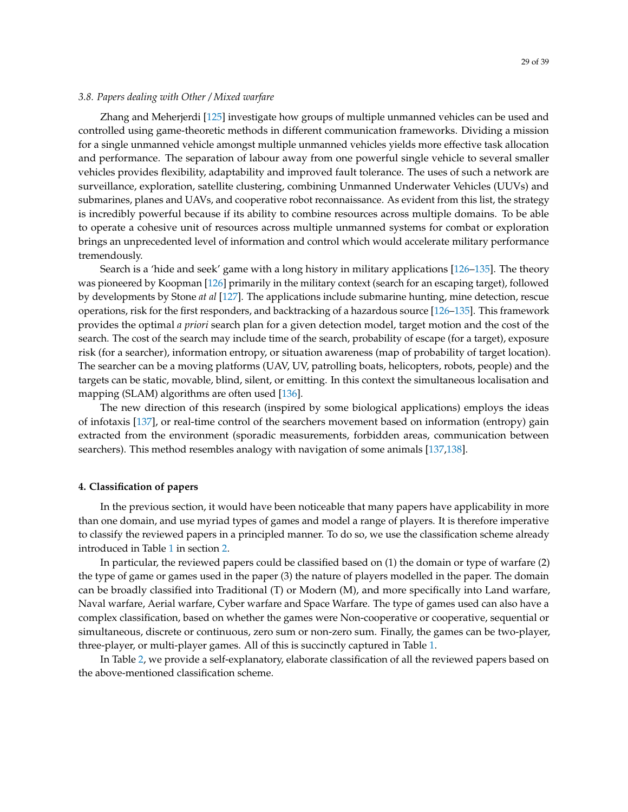#### *3.8. Papers dealing with Other / Mixed warfare*

Zhang and Meherjerdi [\[125\]](#page-37-4) investigate how groups of multiple unmanned vehicles can be used and controlled using game-theoretic methods in different communication frameworks. Dividing a mission for a single unmanned vehicle amongst multiple unmanned vehicles yields more effective task allocation and performance. The separation of labour away from one powerful single vehicle to several smaller vehicles provides flexibility, adaptability and improved fault tolerance. The uses of such a network are surveillance, exploration, satellite clustering, combining Unmanned Underwater Vehicles (UUVs) and submarines, planes and UAVs, and cooperative robot reconnaissance. As evident from this list, the strategy is incredibly powerful because if its ability to combine resources across multiple domains. To be able to operate a cohesive unit of resources across multiple unmanned systems for combat or exploration brings an unprecedented level of information and control which would accelerate military performance tremendously.

Search is a 'hide and seek' game with a long history in military applications [\[126–](#page-37-5)[135\]](#page-37-6). The theory was pioneered by Koopman [\[126\]](#page-37-5) primarily in the military context (search for an escaping target), followed by developments by Stone *at al* [\[127\]](#page-37-7). The applications include submarine hunting, mine detection, rescue operations, risk for the first responders, and backtracking of a hazardous source [\[126](#page-37-5)[–135\]](#page-37-6). This framework provides the optimal *a priori* search plan for a given detection model, target motion and the cost of the search. The cost of the search may include time of the search, probability of escape (for a target), exposure risk (for a searcher), information entropy, or situation awareness (map of probability of target location). The searcher can be a moving platforms (UAV, UV, patrolling boats, helicopters, robots, people) and the targets can be static, movable, blind, silent, or emitting. In this context the simultaneous localisation and mapping (SLAM) algorithms are often used [\[136\]](#page-37-8).

The new direction of this research (inspired by some biological applications) employs the ideas of infotaxis [\[137\]](#page-37-9), or real-time control of the searchers movement based on information (entropy) gain extracted from the environment (sporadic measurements, forbidden areas, communication between searchers). This method resembles analogy with navigation of some animals [\[137,](#page-37-9)[138\]](#page-37-10).

#### <span id="page-28-0"></span>**4. Classification of papers**

In the previous section, it would have been noticeable that many papers have applicability in more than one domain, and use myriad types of games and model a range of players. It is therefore imperative to classify the reviewed papers in a principled manner. To do so, we use the classification scheme already introduced in Table [1](#page-2-1) in section [2.](#page-2-0)

In particular, the reviewed papers could be classified based on (1) the domain or type of warfare (2) the type of game or games used in the paper (3) the nature of players modelled in the paper. The domain can be broadly classified into Traditional (T) or Modern (M), and more specifically into Land warfare, Naval warfare, Aerial warfare, Cyber warfare and Space Warfare. The type of games used can also have a complex classification, based on whether the games were Non-cooperative or cooperative, sequential or simultaneous, discrete or continuous, zero sum or non-zero sum. Finally, the games can be two-player, three-player, or multi-player games. All of this is succinctly captured in Table [1.](#page-2-1)

<span id="page-28-1"></span>In Table [2,](#page-28-1) we provide a self-explanatory, elaborate classification of all the reviewed papers based on the above-mentioned classification scheme.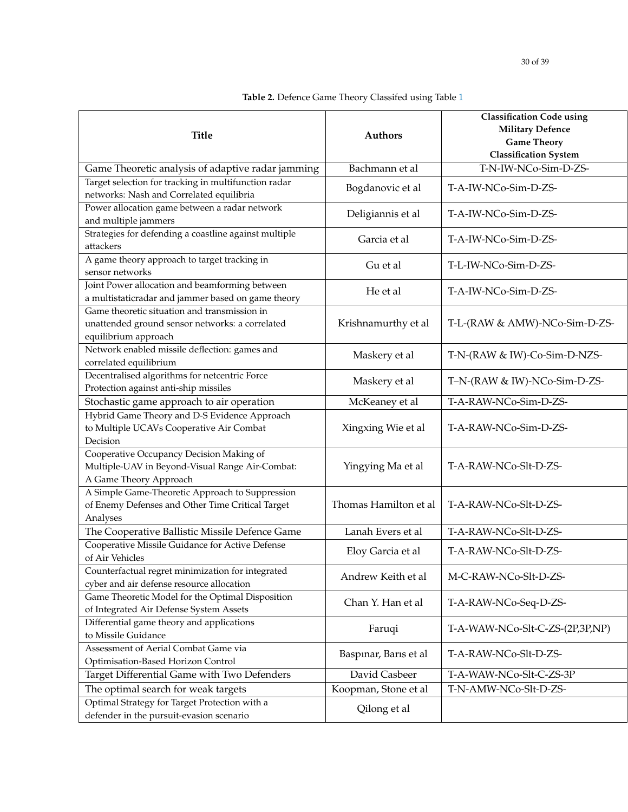| <b>Title</b>                                                                                                            | <b>Authors</b>        | <b>Classification Code using</b><br><b>Military Defence</b><br><b>Game Theory</b><br><b>Classification System</b> |
|-------------------------------------------------------------------------------------------------------------------------|-----------------------|-------------------------------------------------------------------------------------------------------------------|
| Game Theoretic analysis of adaptive radar jamming                                                                       | Bachmann et al        | T-N-IW-NCo-Sim-D-ZS-                                                                                              |
| Target selection for tracking in multifunction radar<br>networks: Nash and Correlated equilibria                        | Bogdanovic et al      | T-A-IW-NCo-Sim-D-ZS-                                                                                              |
| Power allocation game between a radar network<br>and multiple jammers                                                   | Deligiannis et al     | T-A-IW-NCo-Sim-D-ZS-                                                                                              |
| Strategies for defending a coastline against multiple<br>attackers                                                      | Garcia et al          | T-A-IW-NCo-Sim-D-ZS-                                                                                              |
| A game theory approach to target tracking in<br>sensor networks                                                         | Gu et al              | T-L-IW-NCo-Sim-D-ZS-                                                                                              |
| Joint Power allocation and beamforming between<br>a multistaticradar and jammer based on game theory                    | He et al              | T-A-IW-NCo-Sim-D-ZS-                                                                                              |
| Game theoretic situation and transmission in<br>unattended ground sensor networks: a correlated<br>equilibrium approach | Krishnamurthy et al   | T-L-(RAW & AMW)-NCo-Sim-D-ZS-                                                                                     |
| Network enabled missile deflection: games and<br>correlated equilibrium                                                 | Maskery et al         | T-N-(RAW & IW)-Co-Sim-D-NZS-                                                                                      |
| Decentralised algorithms for netcentric Force<br>Protection against anti-ship missiles                                  | Maskery et al         | T-N-(RAW & IW)-NCo-Sim-D-ZS-                                                                                      |
| Stochastic game approach to air operation                                                                               | McKeaney et al        | T-A-RAW-NCo-Sim-D-ZS-                                                                                             |
| Hybrid Game Theory and D-S Evidence Approach<br>to Multiple UCAVs Cooperative Air Combat<br>Decision                    | Xingxing Wie et al    | T-A-RAW-NCo-Sim-D-ZS-                                                                                             |
| Cooperative Occupancy Decision Making of<br>Multiple-UAV in Beyond-Visual Range Air-Combat:<br>A Game Theory Approach   | Yingying Ma et al     | T-A-RAW-NCo-Slt-D-ZS-                                                                                             |
| A Simple Game-Theoretic Approach to Suppression<br>of Enemy Defenses and Other Time Critical Target                     | Thomas Hamilton et al | T-A-RAW-NCo-Slt-D-ZS-                                                                                             |

**Table 2.** Defence Game Theory Classifed using Table [1](#page-2-1)

| Stochastic game approach to air operation                | McKeaney et al        | T-A-RAW-NCo-Sim-D-ZS-           |  |
|----------------------------------------------------------|-----------------------|---------------------------------|--|
| Hybrid Game Theory and D-S Evidence Approach             |                       |                                 |  |
| to Multiple UCAVs Cooperative Air Combat                 | Xingxing Wie et al    | T-A-RAW-NCo-Sim-D-ZS-           |  |
| Decision                                                 |                       |                                 |  |
| Cooperative Occupancy Decision Making of                 | Yingying Ma et al     |                                 |  |
| Multiple-UAV in Beyond-Visual Range Air-Combat:          |                       | T-A-RAW-NCo-Slt-D-ZS-           |  |
| A Game Theory Approach                                   |                       |                                 |  |
| A Simple Game-Theoretic Approach to Suppression          | Thomas Hamilton et al |                                 |  |
| of Enemy Defenses and Other Time Critical Target         |                       | T-A-RAW-NCo-Slt-D-ZS-           |  |
| Analyses                                                 |                       |                                 |  |
| The Cooperative Ballistic Missile Defence Game           | Lanah Evers et al     | T-A-RAW-NCo-Slt-D-ZS-           |  |
| Cooperative Missile Guidance for Active Defense          | Eloy Garcia et al     | T-A-RAW-NCo-Slt-D-ZS-           |  |
| of Air Vehicles                                          |                       |                                 |  |
| Counterfactual regret minimization for integrated        | Andrew Keith et al    | M-C-RAW-NCo-Slt-D-ZS-           |  |
| cyber and air defense resource allocation                |                       |                                 |  |
| Game Theoretic Model for the Optimal Disposition         | Chan Y. Han et al     | T-A-RAW-NCo-Seq-D-ZS-           |  |
| of Integrated Air Defense System Assets                  |                       |                                 |  |
| Differential game theory and applications                | Faruqi                | T-A-WAW-NCo-Slt-C-ZS-(2P,3P,NP) |  |
| to Missile Guidance                                      |                       |                                 |  |
| Assessment of Aerial Combat Game via                     | Baspinar, Baris et al | T-A-RAW-NCo-Slt-D-ZS-           |  |
| Optimisation-Based Horizon Control                       |                       |                                 |  |
| Target Differential Game with Two Defenders              | David Casbeer         | T-A-WAW-NCo-Slt-C-ZS-3P         |  |
| The optimal search for weak targets                      | Koopman, Stone et al  | T-N-AMW-NCo-Slt-D-ZS-           |  |
| Optimal Strategy for Target Protection with a            |                       |                                 |  |
| Qilong et al<br>defender in the pursuit-evasion scenario |                       |                                 |  |
|                                                          |                       |                                 |  |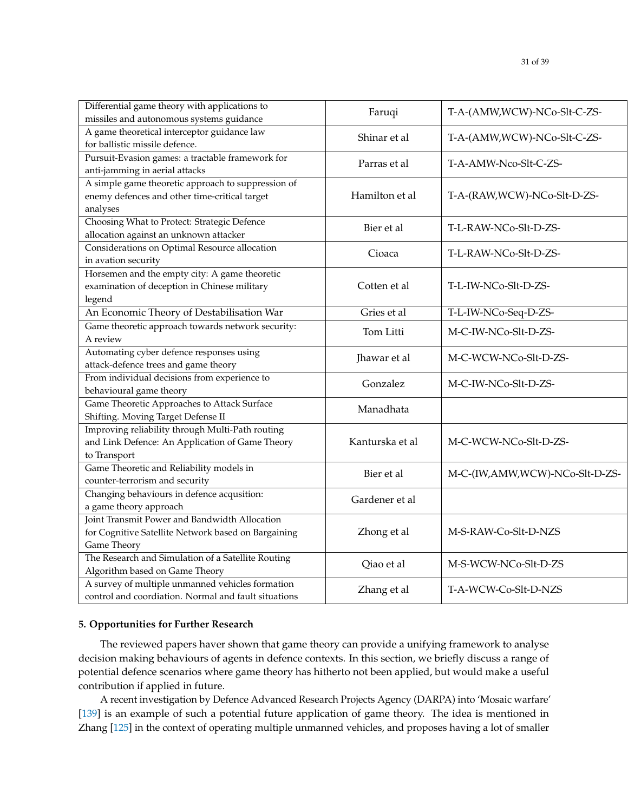| Differential game theory with applications to                                      | Faruqi          | T-A-(AMW,WCW)-NCo-Slt-C-ZS-    |  |
|------------------------------------------------------------------------------------|-----------------|--------------------------------|--|
| missiles and autonomous systems guidance                                           |                 |                                |  |
| A game theoretical interceptor guidance law<br>for ballistic missile defence.      | Shinar et al    | T-A-(AMW,WCW)-NCo-Slt-C-ZS-    |  |
| Pursuit-Evasion games: a tractable framework for<br>anti-jamming in aerial attacks | Parras et al    | T-A-AMW-Nco-Slt-C-ZS-          |  |
| A simple game theoretic approach to suppression of                                 |                 |                                |  |
| enemy defences and other time-critical target                                      | Hamilton et al  | T-A-(RAW, WCW)-NCo-Slt-D-ZS-   |  |
| analyses                                                                           |                 |                                |  |
| Choosing What to Protect: Strategic Defence                                        |                 |                                |  |
| allocation against an unknown attacker                                             | Bier et al      | T-L-RAW-NCo-Slt-D-ZS-          |  |
| Considerations on Optimal Resource allocation                                      |                 |                                |  |
| in avation security                                                                | Cioaca          | T-L-RAW-NCo-Slt-D-ZS-          |  |
| Horsemen and the empty city: A game theoretic                                      |                 |                                |  |
| examination of deception in Chinese military                                       | Cotten et al    | T-L-IW-NCo-Slt-D-ZS-           |  |
| legend                                                                             |                 |                                |  |
| An Economic Theory of Destabilisation War                                          | Gries et al     | T-L-IW-NCo-Seq-D-ZS-           |  |
| Game theoretic approach towards network security:                                  | Tom Litti       | M-C-IW-NCo-Slt-D-ZS-           |  |
| A review                                                                           |                 |                                |  |
| Automating cyber defence responses using                                           | Jhawar et al    | M-C-WCW-NCo-Slt-D-ZS-          |  |
| attack-defence trees and game theory                                               |                 |                                |  |
| From individual decisions from experience to                                       | Gonzalez        | M-C-IW-NCo-Slt-D-ZS-           |  |
| behavioural game theory                                                            |                 |                                |  |
| Game Theoretic Approaches to Attack Surface<br>Shifting. Moving Target Defense II  | Manadhata       |                                |  |
| Improving reliability through Multi-Path routing                                   |                 |                                |  |
| and Link Defence: An Application of Game Theory                                    | Kanturska et al | M-C-WCW-NCo-Slt-D-ZS-          |  |
| to Transport                                                                       |                 |                                |  |
| Game Theoretic and Reliability models in                                           |                 |                                |  |
| counter-terrorism and security                                                     | Bier et al      | M-C-(IW,AMW,WCW)-NCo-Slt-D-ZS- |  |
| Changing behaviours in defence acqusition:                                         |                 |                                |  |
| a game theory approach                                                             | Gardener et al  |                                |  |
| Joint Transmit Power and Bandwidth Allocation                                      |                 |                                |  |
| for Cognitive Satellite Network based on Bargaining                                | Zhong et al     | M-S-RAW-Co-Slt-D-NZS           |  |
| Game Theory                                                                        |                 |                                |  |
| The Research and Simulation of a Satellite Routing                                 |                 |                                |  |
| Algorithm based on Game Theory                                                     | Qiao et al      | M-S-WCW-NCo-Slt-D-ZS           |  |
| A survey of multiple unmanned vehicles formation                                   |                 | T-A-WCW-Co-Slt-D-NZS           |  |
| control and coordiation. Normal and fault situations                               | Zhang et al     |                                |  |

## <span id="page-30-0"></span>**5. Opportunities for Further Research**

The reviewed papers haver shown that game theory can provide a unifying framework to analyse decision making behaviours of agents in defence contexts. In this section, we briefly discuss a range of potential defence scenarios where game theory has hitherto not been applied, but would make a useful contribution if applied in future.

A recent investigation by Defence Advanced Research Projects Agency (DARPA) into 'Mosaic warfare' [\[139\]](#page-37-11) is an example of such a potential future application of game theory. The idea is mentioned in Zhang [\[125\]](#page-37-4) in the context of operating multiple unmanned vehicles, and proposes having a lot of smaller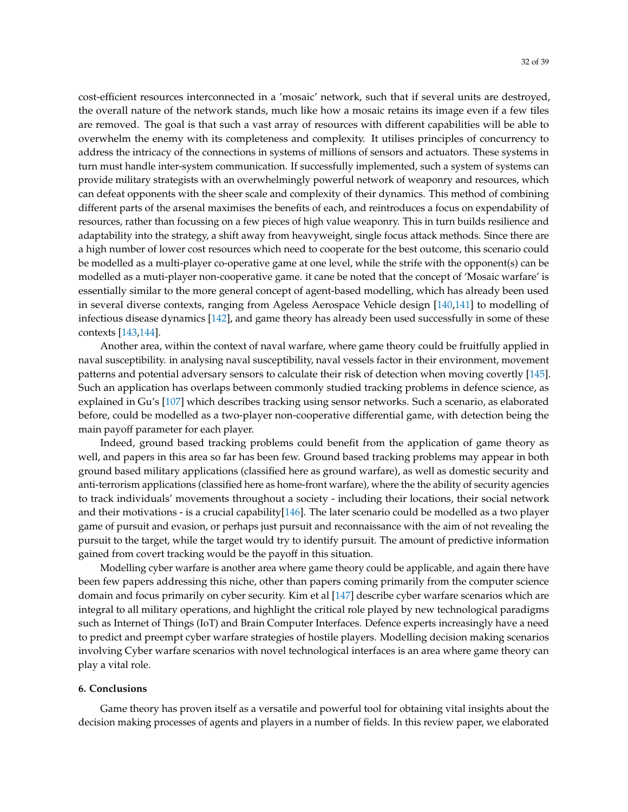cost-efficient resources interconnected in a 'mosaic' network, such that if several units are destroyed, the overall nature of the network stands, much like how a mosaic retains its image even if a few tiles are removed. The goal is that such a vast array of resources with different capabilities will be able to overwhelm the enemy with its completeness and complexity. It utilises principles of concurrency to address the intricacy of the connections in systems of millions of sensors and actuators. These systems in turn must handle inter-system communication. If successfully implemented, such a system of systems can provide military strategists with an overwhelmingly powerful network of weaponry and resources, which can defeat opponents with the sheer scale and complexity of their dynamics. This method of combining different parts of the arsenal maximises the benefits of each, and reintroduces a focus on expendability of resources, rather than focussing on a few pieces of high value weaponry. This in turn builds resilience and adaptability into the strategy, a shift away from heavyweight, single focus attack methods. Since there are a high number of lower cost resources which need to cooperate for the best outcome, this scenario could be modelled as a multi-player co-operative game at one level, while the strife with the opponent(s) can be modelled as a muti-player non-cooperative game. it cane be noted that the concept of 'Mosaic warfare' is essentially similar to the more general concept of agent-based modelling, which has already been used in several diverse contexts, ranging from Ageless Aerospace Vehicle design [\[140,](#page-37-12)[141\]](#page-37-13) to modelling of infectious disease dynamics [\[142\]](#page-37-14), and game theory has already been used successfully in some of these contexts [\[143,](#page-37-15)[144\]](#page-38-0).

Another area, within the context of naval warfare, where game theory could be fruitfully applied in naval susceptibility. in analysing naval susceptibility, naval vessels factor in their environment, movement patterns and potential adversary sensors to calculate their risk of detection when moving covertly [\[145\]](#page-38-1). Such an application has overlaps between commonly studied tracking problems in defence science, as explained in Gu's [\[107\]](#page-36-8) which describes tracking using sensor networks. Such a scenario, as elaborated before, could be modelled as a two-player non-cooperative differential game, with detection being the main payoff parameter for each player.

Indeed, ground based tracking problems could benefit from the application of game theory as well, and papers in this area so far has been few. Ground based tracking problems may appear in both ground based military applications (classified here as ground warfare), as well as domestic security and anti-terrorism applications (classified here as home-front warfare), where the the ability of security agencies to track individuals' movements throughout a society - including their locations, their social network and their motivations - is a crucial capability[\[146\]](#page-38-2). The later scenario could be modelled as a two player game of pursuit and evasion, or perhaps just pursuit and reconnaissance with the aim of not revealing the pursuit to the target, while the target would try to identify pursuit. The amount of predictive information gained from covert tracking would be the payoff in this situation.

Modelling cyber warfare is another area where game theory could be applicable, and again there have been few papers addressing this niche, other than papers coming primarily from the computer science domain and focus primarily on cyber security. Kim et al [\[147\]](#page-38-3) describe cyber warfare scenarios which are integral to all military operations, and highlight the critical role played by new technological paradigms such as Internet of Things (IoT) and Brain Computer Interfaces. Defence experts increasingly have a need to predict and preempt cyber warfare strategies of hostile players. Modelling decision making scenarios involving Cyber warfare scenarios with novel technological interfaces is an area where game theory can play a vital role.

#### <span id="page-31-0"></span>**6. Conclusions**

Game theory has proven itself as a versatile and powerful tool for obtaining vital insights about the decision making processes of agents and players in a number of fields. In this review paper, we elaborated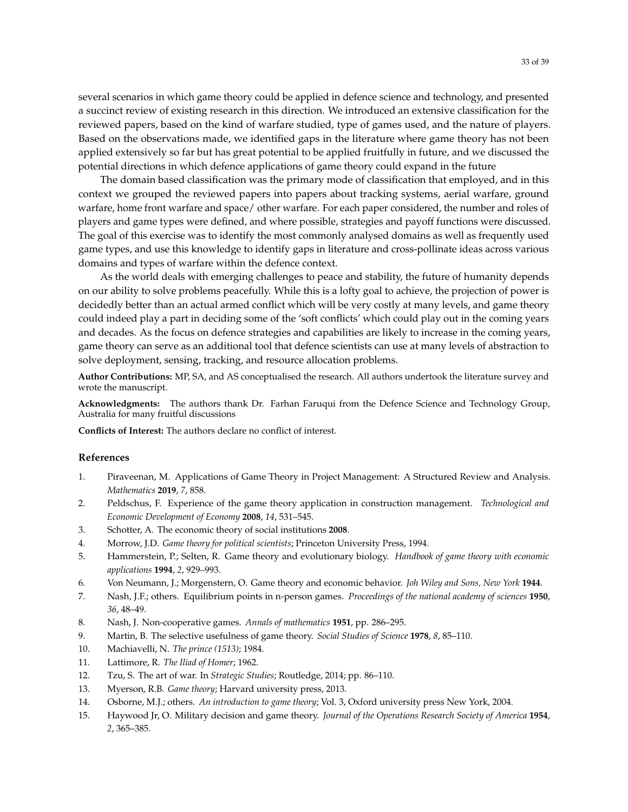several scenarios in which game theory could be applied in defence science and technology, and presented a succinct review of existing research in this direction. We introduced an extensive classification for the reviewed papers, based on the kind of warfare studied, type of games used, and the nature of players. Based on the observations made, we identified gaps in the literature where game theory has not been applied extensively so far but has great potential to be applied fruitfully in future, and we discussed the potential directions in which defence applications of game theory could expand in the future

The domain based classification was the primary mode of classification that employed, and in this context we grouped the reviewed papers into papers about tracking systems, aerial warfare, ground warfare, home front warfare and space/ other warfare. For each paper considered, the number and roles of players and game types were defined, and where possible, strategies and payoff functions were discussed. The goal of this exercise was to identify the most commonly analysed domains as well as frequently used game types, and use this knowledge to identify gaps in literature and cross-pollinate ideas across various domains and types of warfare within the defence context.

As the world deals with emerging challenges to peace and stability, the future of humanity depends on our ability to solve problems peacefully. While this is a lofty goal to achieve, the projection of power is decidedly better than an actual armed conflict which will be very costly at many levels, and game theory could indeed play a part in deciding some of the 'soft conflicts' which could play out in the coming years and decades. As the focus on defence strategies and capabilities are likely to increase in the coming years, game theory can serve as an additional tool that defence scientists can use at many levels of abstraction to solve deployment, sensing, tracking, and resource allocation problems.

**Author Contributions:** MP, SA, and AS conceptualised the research. All authors undertook the literature survey and wrote the manuscript.

**Acknowledgments:** The authors thank Dr. Farhan Faruqui from the Defence Science and Technology Group, Australia for many fruitful discussions

**Conflicts of Interest:** The authors declare no conflict of interest.

## **References**

- <span id="page-32-0"></span>1. Piraveenan, M. Applications of Game Theory in Project Management: A Structured Review and Analysis. *Mathematics* **2019**, *7*, 858.
- <span id="page-32-11"></span>2. Peldschus, F. Experience of the game theory application in construction management. *Technological and Economic Development of Economy* **2008**, *14*, 531–545.
- 3. Schotter, A. The economic theory of social institutions **2008**.
- 4. Morrow, J.D. *Game theory for political scientists*; Princeton University Press, 1994.
- <span id="page-32-1"></span>5. Hammerstein, P.; Selten, R. Game theory and evolutionary biology. *Handbook of game theory with economic applications* **1994**, *2*, 929–993.
- <span id="page-32-2"></span>6. Von Neumann, J.; Morgenstern, O. Game theory and economic behavior. *Joh Wiley and Sons, New York* **1944**.
- <span id="page-32-10"></span>7. Nash, J.F.; others. Equilibrium points in n-person games. *Proceedings of the national academy of sciences* **1950**, *36*, 48–49.
- <span id="page-32-4"></span><span id="page-32-3"></span>8. Nash, J. Non-cooperative games. *Annals of mathematics* **1951**, pp. 286–295.
- 9. Martin, B. The selective usefulness of game theory. *Social Studies of Science* **1978**, *8*, 85–110.
- <span id="page-32-9"></span>10. Machiavelli, N. *The prince (1513)*; 1984.
- 11. Lattimore, R. *The Iliad of Homer*; 1962.
- <span id="page-32-5"></span>12. Tzu, S. The art of war. In *Strategic Studies*; Routledge, 2014; pp. 86–110.
- <span id="page-32-6"></span>13. Myerson, R.B. *Game theory*; Harvard university press, 2013.
- <span id="page-32-7"></span>14. Osborne, M.J.; others. *An introduction to game theory*; Vol. 3, Oxford university press New York, 2004.
- <span id="page-32-8"></span>15. Haywood Jr, O. Military decision and game theory. *Journal of the Operations Research Society of America* **1954**, *2*, 365–385.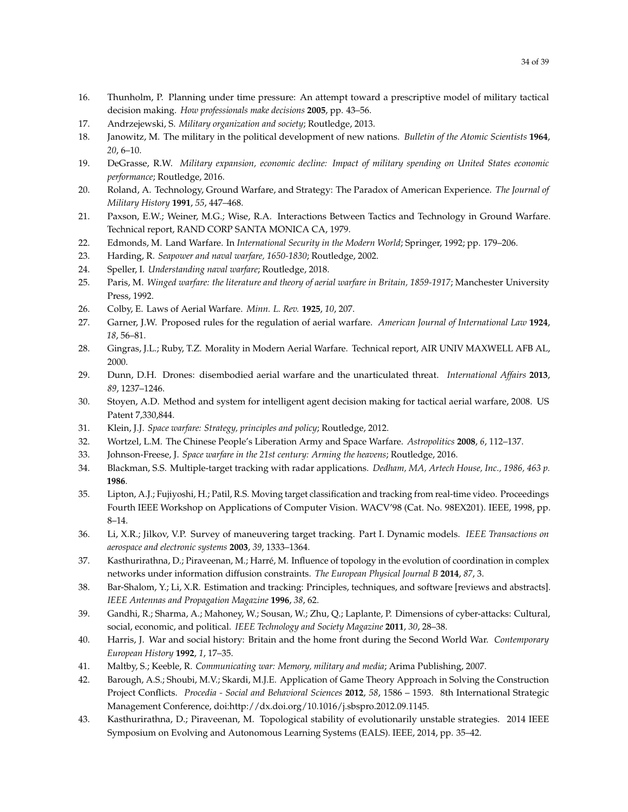- <span id="page-33-0"></span>16. Thunholm, P. Planning under time pressure: An attempt toward a prescriptive model of military tactical decision making. *How professionals make decisions* **2005**, pp. 43–56.
- <span id="page-33-1"></span>17. Andrzejewski, S. *Military organization and society*; Routledge, 2013.
- <span id="page-33-2"></span>18. Janowitz, M. The military in the political development of new nations. *Bulletin of the Atomic Scientists* **1964**, *20*, 6–10.
- <span id="page-33-3"></span>19. DeGrasse, R.W. *Military expansion, economic decline: Impact of military spending on United States economic performance*; Routledge, 2016.
- <span id="page-33-4"></span>20. Roland, A. Technology, Ground Warfare, and Strategy: The Paradox of American Experience. *The Journal of Military History* **1991**, *55*, 447–468.
- <span id="page-33-5"></span>21. Paxson, E.W.; Weiner, M.G.; Wise, R.A. Interactions Between Tactics and Technology in Ground Warfare. Technical report, RAND CORP SANTA MONICA CA, 1979.
- <span id="page-33-6"></span>22. Edmonds, M. Land Warfare. In *International Security in the Modern World*; Springer, 1992; pp. 179–206.
- <span id="page-33-7"></span>23. Harding, R. *Seapower and naval warfare, 1650-1830*; Routledge, 2002.
- <span id="page-33-8"></span>24. Speller, I. *Understanding naval warfare*; Routledge, 2018.
- <span id="page-33-9"></span>25. Paris, M. *Winged warfare: the literature and theory of aerial warfare in Britain, 1859-1917*; Manchester University Press, 1992.
- <span id="page-33-10"></span>26. Colby, E. Laws of Aerial Warfare. *Minn. L. Rev.* **1925**, *10*, 207.
- <span id="page-33-11"></span>27. Garner, J.W. Proposed rules for the regulation of aerial warfare. *American Journal of International Law* **1924**, *18*, 56–81.
- <span id="page-33-12"></span>28. Gingras, J.L.; Ruby, T.Z. Morality in Modern Aerial Warfare. Technical report, AIR UNIV MAXWELL AFB AL, 2000.
- 29. Dunn, D.H. Drones: disembodied aerial warfare and the unarticulated threat. *International Affairs* **2013**, *89*, 1237–1246.
- <span id="page-33-13"></span>30. Stoyen, A.D. Method and system for intelligent agent decision making for tactical aerial warfare, 2008. US Patent 7,330,844.
- <span id="page-33-14"></span>31. Klein, J.J. *Space warfare: Strategy, principles and policy*; Routledge, 2012.
- <span id="page-33-15"></span>32. Wortzel, L.M. The Chinese People's Liberation Army and Space Warfare. *Astropolitics* **2008**, *6*, 112–137.
- <span id="page-33-16"></span>33. Johnson-Freese, J. *Space warfare in the 21st century: Arming the heavens*; Routledge, 2016.
- <span id="page-33-17"></span>34. Blackman, S.S. Multiple-target tracking with radar applications. *Dedham, MA, Artech House, Inc., 1986, 463 p.* **1986**.
- 35. Lipton, A.J.; Fujiyoshi, H.; Patil, R.S. Moving target classification and tracking from real-time video. Proceedings Fourth IEEE Workshop on Applications of Computer Vision. WACV'98 (Cat. No. 98EX201). IEEE, 1998, pp. 8–14.
- <span id="page-33-18"></span>36. Li, X.R.; Jilkov, V.P. Survey of maneuvering target tracking. Part I. Dynamic models. *IEEE Transactions on aerospace and electronic systems* **2003**, *39*, 1333–1364.
- <span id="page-33-19"></span>37. Kasthurirathna, D.; Piraveenan, M.; Harré, M. Influence of topology in the evolution of coordination in complex networks under information diffusion constraints. *The European Physical Journal B* **2014**, *87*, 3.
- <span id="page-33-20"></span>38. Bar-Shalom, Y.; Li, X.R. Estimation and tracking: Principles, techniques, and software [reviews and abstracts]. *IEEE Antennas and Propagation Magazine* **1996**, *38*, 62.
- <span id="page-33-21"></span>39. Gandhi, R.; Sharma, A.; Mahoney, W.; Sousan, W.; Zhu, Q.; Laplante, P. Dimensions of cyber-attacks: Cultural, social, economic, and political. *IEEE Technology and Society Magazine* **2011**, *30*, 28–38.
- <span id="page-33-22"></span>40. Harris, J. War and social history: Britain and the home front during the Second World War. *Contemporary European History* **1992**, *1*, 17–35.
- <span id="page-33-23"></span>41. Maltby, S.; Keeble, R. *Communicating war: Memory, military and media*; Arima Publishing, 2007.
- <span id="page-33-24"></span>42. Barough, A.S.; Shoubi, M.V.; Skardi, M.J.E. Application of Game Theory Approach in Solving the Construction Project Conflicts. *Procedia - Social and Behavioral Sciences* **2012**, *58*, 1586 – 1593. 8th International Strategic Management Conference, doi[:http://dx.doi.org/10.1016/j.sbspro.2012.09.1145.](https://doi.org/http://dx.doi.org/10.1016/j.sbspro.2012.09.1145)
- 43. Kasthurirathna, D.; Piraveenan, M. Topological stability of evolutionarily unstable strategies. 2014 IEEE Symposium on Evolving and Autonomous Learning Systems (EALS). IEEE, 2014, pp. 35–42.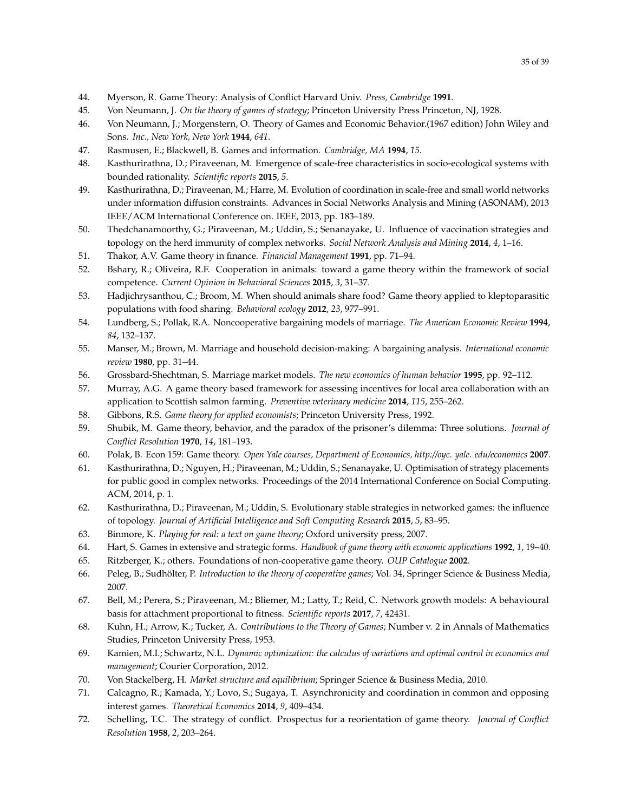- 44. Myerson, R. Game Theory: Analysis of Conflict Harvard Univ. *Press, Cambridge* **1991**.
- 45. Von Neumann, J. *On the theory of games of strategy*; Princeton University Press Princeton, NJ, 1928.
- <span id="page-34-0"></span>46. Von Neumann, J.; Morgenstern, O. Theory of Games and Economic Behavior.(1967 edition) John Wiley and Sons. *Inc., New York, New York* **1944**, *641*.
- <span id="page-34-1"></span>47. Rasmusen, E.; Blackwell, B. Games and information. *Cambridge, MA* **1994**, *15*.
- <span id="page-34-23"></span>48. Kasthurirathna, D.; Piraveenan, M. Emergence of scale-free characteristics in socio-ecological systems with bounded rationality. *Scientific reports* **2015**, *5*.
- 49. Kasthurirathna, D.; Piraveenan, M.; Harre, M. Evolution of coordination in scale-free and small world networks under information diffusion constraints. Advances in Social Networks Analysis and Mining (ASONAM), 2013 IEEE/ACM International Conference on. IEEE, 2013, pp. 183–189.
- 50. Thedchanamoorthy, G.; Piraveenan, M.; Uddin, S.; Senanayake, U. Influence of vaccination strategies and topology on the herd immunity of complex networks. *Social Network Analysis and Mining* **2014**, *4*, 1–16.
- <span id="page-34-2"></span>51. Thakor, A.V. Game theory in finance. *Financial Management* **1991**, pp. 71–94.
- <span id="page-34-3"></span>52. Bshary, R.; Oliveira, R.F. Cooperation in animals: toward a game theory within the framework of social competence. *Current Opinion in Behavioral Sciences* **2015**, *3*, 31–37.
- <span id="page-34-4"></span>53. Hadjichrysanthou, C.; Broom, M. When should animals share food? Game theory applied to kleptoparasitic populations with food sharing. *Behavioral ecology* **2012**, *23*, 977–991.
- <span id="page-34-5"></span>54. Lundberg, S.; Pollak, R.A. Noncooperative bargaining models of marriage. *The American Economic Review* **1994**, *84*, 132–137.
- 55. Manser, M.; Brown, M. Marriage and household decision-making: A bargaining analysis. *International economic review* **1980**, pp. 31–44.
- <span id="page-34-6"></span>56. Grossbard-Shechtman, S. Marriage market models. *The new economics of human behavior* **1995**, pp. 92–112.
- <span id="page-34-7"></span>57. Murray, A.G. A game theory based framework for assessing incentives for local area collaboration with an application to Scottish salmon farming. *Preventive veterinary medicine* **2014**, *115*, 255–262.
- <span id="page-34-8"></span>58. Gibbons, R.S. *Game theory for applied economists*; Princeton University Press, 1992.
- <span id="page-34-9"></span>59. Shubik, M. Game theory, behavior, and the paradox of the prisoner's dilemma: Three solutions. *Journal of Conflict Resolution* **1970**, *14*, 181–193.
- <span id="page-34-10"></span>60. Polak, B. Econ 159: Game theory. *Open Yale courses, Department of Economics, http://oyc. yale. edu/economics* **2007**.
- <span id="page-34-11"></span>61. Kasthurirathna, D.; Nguyen, H.; Piraveenan, M.; Uddin, S.; Senanayake, U. Optimisation of strategy placements for public good in complex networks. Proceedings of the 2014 International Conference on Social Computing. ACM, 2014, p. 1.
- <span id="page-34-12"></span>62. Kasthurirathna, D.; Piraveenan, M.; Uddin, S. Evolutionary stable strategies in networked games: the influence of topology. *Journal of Artificial Intelligence and Soft Computing Research* **2015**, *5*, 83–95.
- <span id="page-34-13"></span>63. Binmore, K. *Playing for real: a text on game theory*; Oxford university press, 2007.
- <span id="page-34-14"></span>64. Hart, S. Games in extensive and strategic forms. *Handbook of game theory with economic applications* **1992**, *1*, 19–40.
- <span id="page-34-15"></span>65. Ritzberger, K.; others. Foundations of non-cooperative game theory. *OUP Catalogue* **2002**.
- <span id="page-34-16"></span>66. Peleg, B.; Sudhölter, P. *Introduction to the theory of cooperative games*; Vol. 34, Springer Science & Business Media, 2007.
- <span id="page-34-17"></span>67. Bell, M.; Perera, S.; Piraveenan, M.; Bliemer, M.; Latty, T.; Reid, C. Network growth models: A behavioural basis for attachment proportional to fitness. *Scientific reports* **2017**, *7*, 42431.
- <span id="page-34-18"></span>68. Kuhn, H.; Arrow, K.; Tucker, A. *Contributions to the Theory of Games*; Number v. 2 in Annals of Mathematics Studies, Princeton University Press, 1953.
- <span id="page-34-19"></span>69. Kamien, M.I.; Schwartz, N.L. *Dynamic optimization: the calculus of variations and optimal control in economics and management*; Courier Corporation, 2012.
- <span id="page-34-20"></span>70. Von Stackelberg, H. *Market structure and equilibrium*; Springer Science & Business Media, 2010.
- <span id="page-34-21"></span>71. Calcagno, R.; Kamada, Y.; Lovo, S.; Sugaya, T. Asynchronicity and coordination in common and opposing interest games. *Theoretical Economics* **2014**, *9*, 409–434.
- <span id="page-34-22"></span>72. Schelling, T.C. The strategy of conflict. Prospectus for a reorientation of game theory. *Journal of Conflict Resolution* **1958**, *2*, 203–264.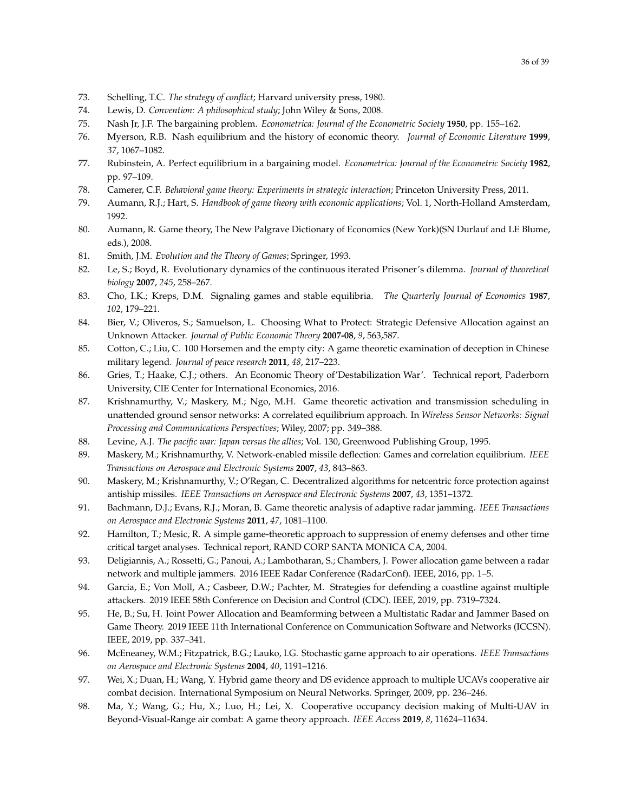- 73. Schelling, T.C. *The strategy of conflict*; Harvard university press, 1980.
- <span id="page-35-0"></span>74. Lewis, D. *Convention: A philosophical study*; John Wiley & Sons, 2008.
- <span id="page-35-1"></span>75. Nash Jr, J.F. The bargaining problem. *Econometrica: Journal of the Econometric Society* **1950**, pp. 155–162.
- <span id="page-35-2"></span>76. Myerson, R.B. Nash equilibrium and the history of economic theory. *Journal of Economic Literature* **1999**, *37*, 1067–1082.
- <span id="page-35-3"></span>77. Rubinstein, A. Perfect equilibrium in a bargaining model. *Econometrica: Journal of the Econometric Society* **1982**, pp. 97–109.
- <span id="page-35-4"></span>78. Camerer, C.F. *Behavioral game theory: Experiments in strategic interaction*; Princeton University Press, 2011.
- <span id="page-35-5"></span>79. Aumann, R.J.; Hart, S. *Handbook of game theory with economic applications*; Vol. 1, North-Holland Amsterdam, 1992.
- <span id="page-35-6"></span>80. Aumann, R. Game theory, The New Palgrave Dictionary of Economics (New York)(SN Durlauf and LE Blume, eds.), 2008.
- <span id="page-35-7"></span>81. Smith, J.M. *Evolution and the Theory of Games*; Springer, 1993.
- <span id="page-35-8"></span>82. Le, S.; Boyd, R. Evolutionary dynamics of the continuous iterated Prisoner's dilemma. *Journal of theoretical biology* **2007**, *245*, 258–267.
- <span id="page-35-9"></span>83. Cho, I.K.; Kreps, D.M. Signaling games and stable equilibria. *The Quarterly Journal of Economics* **1987**, *102*, 179–221.
- <span id="page-35-10"></span>84. Bier, V.; Oliveros, S.; Samuelson, L. Choosing What to Protect: Strategic Defensive Allocation against an Unknown Attacker. *Journal of Public Economic Theory* **2007-08**, *9*, 563,587.
- <span id="page-35-11"></span>85. Cotton, C.; Liu, C. 100 Horsemen and the empty city: A game theoretic examination of deception in Chinese military legend. *Journal of peace research* **2011**, *48*, 217–223.
- <span id="page-35-12"></span>86. Gries, T.; Haake, C.J.; others. An Economic Theory of'Destabilization War'. Technical report, Paderborn University, CIE Center for International Economics, 2016.
- <span id="page-35-13"></span>87. Krishnamurthy, V.; Maskery, M.; Ngo, M.H. Game theoretic activation and transmission scheduling in unattended ground sensor networks: A correlated equilibrium approach. In *Wireless Sensor Networks: Signal Processing and Communications Perspectives*; Wiley, 2007; pp. 349–388.
- <span id="page-35-14"></span>88. Levine, A.J. *The pacific war: Japan versus the allies*; Vol. 130, Greenwood Publishing Group, 1995.
- <span id="page-35-15"></span>89. Maskery, M.; Krishnamurthy, V. Network-enabled missile deflection: Games and correlation equilibrium. *IEEE Transactions on Aerospace and Electronic Systems* **2007**, *43*, 843–863.
- <span id="page-35-16"></span>90. Maskery, M.; Krishnamurthy, V.; O'Regan, C. Decentralized algorithms for netcentric force protection against antiship missiles. *IEEE Transactions on Aerospace and Electronic Systems* **2007**, *43*, 1351–1372.
- <span id="page-35-17"></span>91. Bachmann, D.J.; Evans, R.J.; Moran, B. Game theoretic analysis of adaptive radar jamming. *IEEE Transactions on Aerospace and Electronic Systems* **2011**, *47*, 1081–1100.
- <span id="page-35-18"></span>92. Hamilton, T.; Mesic, R. A simple game-theoretic approach to suppression of enemy defenses and other time critical target analyses. Technical report, RAND CORP SANTA MONICA CA, 2004.
- <span id="page-35-19"></span>93. Deligiannis, A.; Rossetti, G.; Panoui, A.; Lambotharan, S.; Chambers, J. Power allocation game between a radar network and multiple jammers. 2016 IEEE Radar Conference (RadarConf). IEEE, 2016, pp. 1–5.
- <span id="page-35-20"></span>94. Garcia, E.; Von Moll, A.; Casbeer, D.W.; Pachter, M. Strategies for defending a coastline against multiple attackers. 2019 IEEE 58th Conference on Decision and Control (CDC). IEEE, 2019, pp. 7319–7324.
- <span id="page-35-21"></span>95. He, B.; Su, H. Joint Power Allocation and Beamforming between a Multistatic Radar and Jammer Based on Game Theory. 2019 IEEE 11th International Conference on Communication Software and Networks (ICCSN). IEEE, 2019, pp. 337–341.
- <span id="page-35-22"></span>96. McEneaney, W.M.; Fitzpatrick, B.G.; Lauko, I.G. Stochastic game approach to air operations. *IEEE Transactions on Aerospace and Electronic Systems* **2004**, *40*, 1191–1216.
- <span id="page-35-23"></span>97. Wei, X.; Duan, H.; Wang, Y. Hybrid game theory and DS evidence approach to multiple UCAVs cooperative air combat decision. International Symposium on Neural Networks. Springer, 2009, pp. 236–246.
- <span id="page-35-24"></span>98. Ma, Y.; Wang, G.; Hu, X.; Luo, H.; Lei, X. Cooperative occupancy decision making of Multi-UAV in Beyond-Visual-Range air combat: A game theory approach. *IEEE Access* **2019**, *8*, 11624–11634.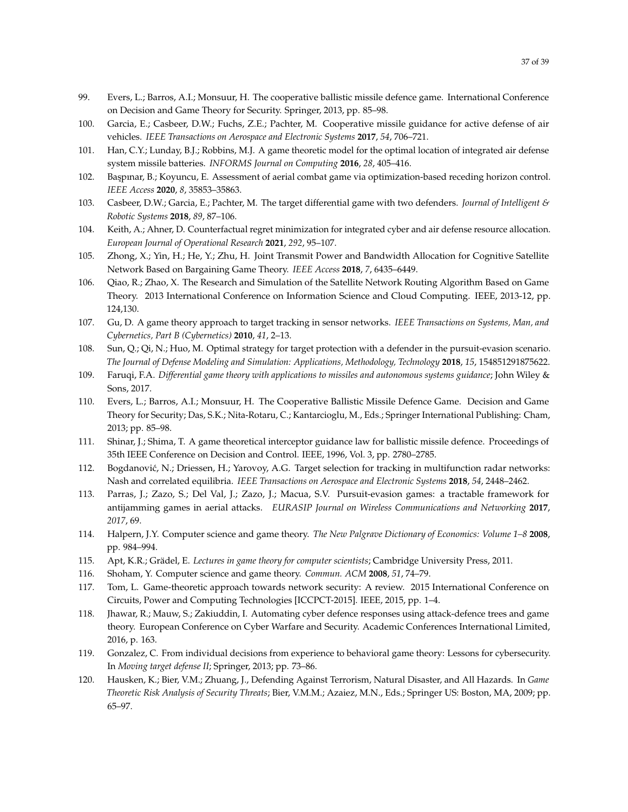- <span id="page-36-0"></span>99. Evers, L.; Barros, A.I.; Monsuur, H. The cooperative ballistic missile defence game. International Conference
	- on Decision and Game Theory for Security. Springer, 2013, pp. 85–98.
- <span id="page-36-1"></span>100. Garcia, E.; Casbeer, D.W.; Fuchs, Z.E.; Pachter, M. Cooperative missile guidance for active defense of air vehicles. *IEEE Transactions on Aerospace and Electronic Systems* **2017**, *54*, 706–721.
- <span id="page-36-2"></span>101. Han, C.Y.; Lunday, B.J.; Robbins, M.J. A game theoretic model for the optimal location of integrated air defense system missile batteries. *INFORMS Journal on Computing* **2016**, *28*, 405–416.
- <span id="page-36-3"></span>102. Başpınar, B.; Koyuncu, E. Assessment of aerial combat game via optimization-based receding horizon control. *IEEE Access* **2020**, *8*, 35853–35863.
- <span id="page-36-4"></span>103. Casbeer, D.W.; Garcia, E.; Pachter, M. The target differential game with two defenders. *Journal of Intelligent & Robotic Systems* **2018**, *89*, 87–106.
- <span id="page-36-5"></span>104. Keith, A.; Ahner, D. Counterfactual regret minimization for integrated cyber and air defense resource allocation. *European Journal of Operational Research* **2021**, *292*, 95–107.
- <span id="page-36-6"></span>105. Zhong, X.; Yin, H.; He, Y.; Zhu, H. Joint Transmit Power and Bandwidth Allocation for Cognitive Satellite Network Based on Bargaining Game Theory. *IEEE Access* **2018**, *7*, 6435–6449.
- <span id="page-36-7"></span>106. Qiao, R.; Zhao, X. The Research and Simulation of the Satellite Network Routing Algorithm Based on Game Theory. 2013 International Conference on Information Science and Cloud Computing. IEEE, 2013-12, pp. 124,130.
- <span id="page-36-8"></span>107. Gu, D. A game theory approach to target tracking in sensor networks. *IEEE Transactions on Systems, Man, and Cybernetics, Part B (Cybernetics)* **2010**, *41*, 2–13.
- <span id="page-36-9"></span>108. Sun, Q.; Qi, N.; Huo, M. Optimal strategy for target protection with a defender in the pursuit-evasion scenario. *The Journal of Defense Modeling and Simulation: Applications, Methodology, Technology* **2018**, *15*, 154851291875622.
- <span id="page-36-10"></span>109. Faruqi, F.A. *Differential game theory with applications to missiles and autonomous systems guidance*; John Wiley & Sons, 2017.
- <span id="page-36-11"></span>110. Evers, L.; Barros, A.I.; Monsuur, H. The Cooperative Ballistic Missile Defence Game. Decision and Game Theory for Security; Das, S.K.; Nita-Rotaru, C.; Kantarcioglu, M., Eds.; Springer International Publishing: Cham, 2013; pp. 85–98.
- <span id="page-36-12"></span>111. Shinar, J.; Shima, T. A game theoretical interceptor guidance law for ballistic missile defence. Proceedings of 35th IEEE Conference on Decision and Control. IEEE, 1996, Vol. 3, pp. 2780–2785.
- <span id="page-36-13"></span>112. Bogdanović, N.; Driessen, H.; Yarovoy, A.G. Target selection for tracking in multifunction radar networks: Nash and correlated equilibria. *IEEE Transactions on Aerospace and Electronic Systems* **2018**, *54*, 2448–2462.
- <span id="page-36-14"></span>113. Parras, J.; Zazo, S.; Del Val, J.; Zazo, J.; Macua, S.V. Pursuit-evasion games: a tractable framework for antijamming games in aerial attacks. *EURASIP Journal on Wireless Communications and Networking* **2017**, *2017*, 69.
- <span id="page-36-15"></span>114. Halpern, J.Y. Computer science and game theory. *The New Palgrave Dictionary of Economics: Volume 1–8* **2008**, pp. 984–994.
- 115. Apt, K.R.; Grädel, E. *Lectures in game theory for computer scientists*; Cambridge University Press, 2011.
- <span id="page-36-16"></span>116. Shoham, Y. Computer science and game theory. *Commun. ACM* **2008**, *51*, 74–79.
- <span id="page-36-17"></span>117. Tom, L. Game-theoretic approach towards network security: A review. 2015 International Conference on Circuits, Power and Computing Technologies [ICCPCT-2015]. IEEE, 2015, pp. 1–4.
- <span id="page-36-18"></span>118. Jhawar, R.; Mauw, S.; Zakiuddin, I. Automating cyber defence responses using attack-defence trees and game theory. European Conference on Cyber Warfare and Security. Academic Conferences International Limited, 2016, p. 163.
- <span id="page-36-19"></span>119. Gonzalez, C. From individual decisions from experience to behavioral game theory: Lessons for cybersecurity. In *Moving target defense II*; Springer, 2013; pp. 73–86.
- <span id="page-36-20"></span>120. Hausken, K.; Bier, V.M.; Zhuang, J., Defending Against Terrorism, Natural Disaster, and All Hazards. In *Game Theoretic Risk Analysis of Security Threats*; Bier, V.M.M.; Azaiez, M.N., Eds.; Springer US: Boston, MA, 2009; pp. 65–97.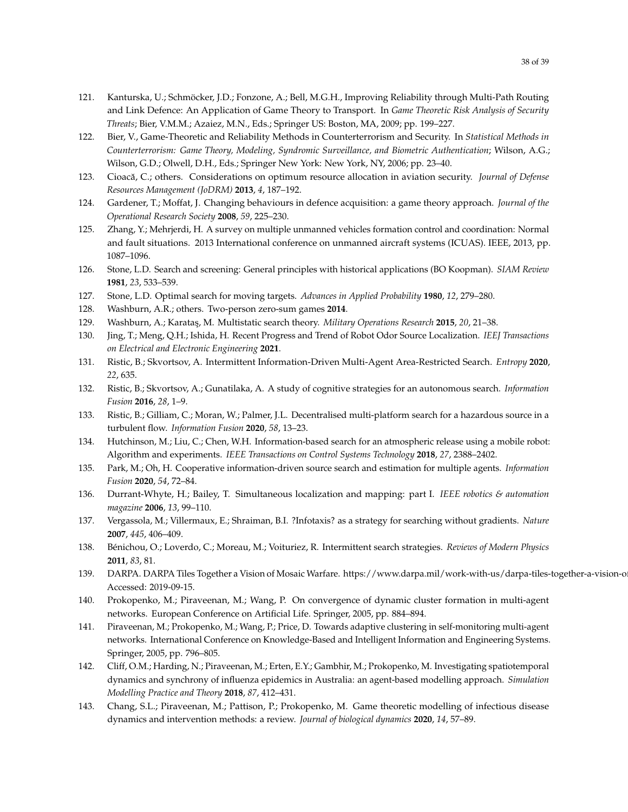- <span id="page-37-0"></span>121. Kanturska, U.; Schmöcker, J.D.; Fonzone, A.; Bell, M.G.H., Improving Reliability through Multi-Path Routing and Link Defence: An Application of Game Theory to Transport. In *Game Theoretic Risk Analysis of Security Threats*; Bier, V.M.M.; Azaiez, M.N., Eds.; Springer US: Boston, MA, 2009; pp. 199–227.
- <span id="page-37-1"></span>122. Bier, V., Game-Theoretic and Reliability Methods in Counterterrorism and Security. In *Statistical Methods in Counterterrorism: Game Theory, Modeling, Syndromic Surveillance, and Biometric Authentication*; Wilson, A.G.; Wilson, G.D.; Olwell, D.H., Eds.; Springer New York: New York, NY, 2006; pp. 23–40.
- <span id="page-37-2"></span>123. Cioac˘a, C.; others. Considerations on optimum resource allocation in aviation security. *Journal of Defense Resources Management (JoDRM)* **2013**, *4*, 187–192.
- <span id="page-37-3"></span>124. Gardener, T.; Moffat, J. Changing behaviours in defence acquisition: a game theory approach. *Journal of the Operational Research Society* **2008**, *59*, 225–230.
- <span id="page-37-4"></span>125. Zhang, Y.; Mehrjerdi, H. A survey on multiple unmanned vehicles formation control and coordination: Normal and fault situations. 2013 International conference on unmanned aircraft systems (ICUAS). IEEE, 2013, pp. 1087–1096.
- <span id="page-37-5"></span>126. Stone, L.D. Search and screening: General principles with historical applications (BO Koopman). *SIAM Review* **1981**, *23*, 533–539.
- <span id="page-37-7"></span>127. Stone, L.D. Optimal search for moving targets. *Advances in Applied Probability* **1980**, *12*, 279–280.
- 128. Washburn, A.R.; others. Two-person zero-sum games **2014**.
- 129. Washburn, A.; Karata¸s, M. Multistatic search theory. *Military Operations Research* **2015**, *20*, 21–38.
- 130. Jing, T.; Meng, Q.H.; Ishida, H. Recent Progress and Trend of Robot Odor Source Localization. *IEEJ Transactions on Electrical and Electronic Engineering* **2021**.
- 131. Ristic, B.; Skvortsov, A. Intermittent Information-Driven Multi-Agent Area-Restricted Search. *Entropy* **2020**, *22*, 635.
- 132. Ristic, B.; Skvortsov, A.; Gunatilaka, A. A study of cognitive strategies for an autonomous search. *Information Fusion* **2016**, *28*, 1–9.
- 133. Ristic, B.; Gilliam, C.; Moran, W.; Palmer, J.L. Decentralised multi-platform search for a hazardous source in a turbulent flow. *Information Fusion* **2020**, *58*, 13–23.
- 134. Hutchinson, M.; Liu, C.; Chen, W.H. Information-based search for an atmospheric release using a mobile robot: Algorithm and experiments. *IEEE Transactions on Control Systems Technology* **2018**, *27*, 2388–2402.
- <span id="page-37-6"></span>135. Park, M.; Oh, H. Cooperative information-driven source search and estimation for multiple agents. *Information Fusion* **2020**, *54*, 72–84.
- <span id="page-37-8"></span>136. Durrant-Whyte, H.; Bailey, T. Simultaneous localization and mapping: part I. *IEEE robotics & automation magazine* **2006**, *13*, 99–110.
- <span id="page-37-9"></span>137. Vergassola, M.; Villermaux, E.; Shraiman, B.I. ?Infotaxis? as a strategy for searching without gradients. *Nature* **2007**, *445*, 406–409.
- <span id="page-37-10"></span>138. Bénichou, O.; Loverdo, C.; Moreau, M.; Voituriez, R. Intermittent search strategies. *Reviews of Modern Physics* **2011**, *83*, 81.
- <span id="page-37-11"></span>139. DARPA. DARPA Tiles Together a Vision of Mosaic Warfare. https://www.darpa.mil/work-with-us/darpa-tiles-together-a-vision-o Accessed: 2019-09-15.
- <span id="page-37-12"></span>140. Prokopenko, M.; Piraveenan, M.; Wang, P. On convergence of dynamic cluster formation in multi-agent networks. European Conference on Artificial Life. Springer, 2005, pp. 884–894.
- <span id="page-37-13"></span>141. Piraveenan, M.; Prokopenko, M.; Wang, P.; Price, D. Towards adaptive clustering in self-monitoring multi-agent networks. International Conference on Knowledge-Based and Intelligent Information and Engineering Systems. Springer, 2005, pp. 796–805.
- <span id="page-37-14"></span>142. Cliff, O.M.; Harding, N.; Piraveenan, M.; Erten, E.Y.; Gambhir, M.; Prokopenko, M. Investigating spatiotemporal dynamics and synchrony of influenza epidemics in Australia: an agent-based modelling approach. *Simulation Modelling Practice and Theory* **2018**, *87*, 412–431.
- <span id="page-37-15"></span>143. Chang, S.L.; Piraveenan, M.; Pattison, P.; Prokopenko, M. Game theoretic modelling of infectious disease dynamics and intervention methods: a review. *Journal of biological dynamics* **2020**, *14*, 57–89.